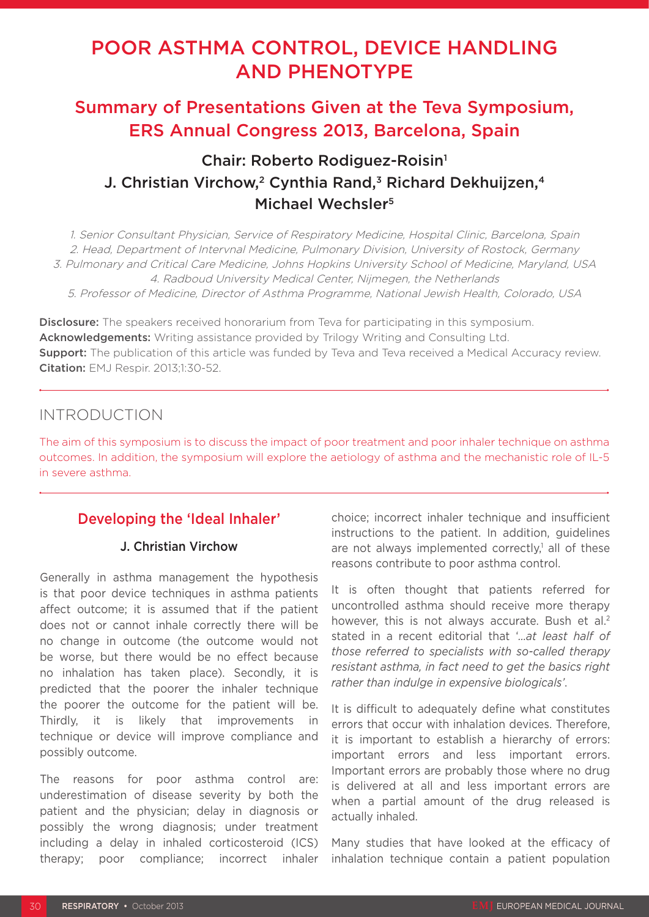# POOR ASTHMA CONTROL, DEVICE HANDLING AND PHENOTYPE

## Summary of Presentations Given at the Teva Symposium, ERS Annual Congress 2013, Barcelona, Spain

## Chair: Roberto Rodiguez-Roisin<sup>1</sup> J. Christian Virchow,<sup>2</sup> Cynthia Rand,<sup>3</sup> Richard Dekhuijzen,<sup>4</sup> Michael Wechsler<sup>5</sup>

1. Senior Consultant Physician, Service of Respiratory Medicine, Hospital Clinic, Barcelona, Spain 2. Head, Department of Intervnal Medicine, Pulmonary Division, University of Rostock, Germany 3. Pulmonary and Critical Care Medicine, Johns Hopkins University School of Medicine, Maryland, USA 4. Radboud University Medical Center, Nijmegen, the Netherlands 5. Professor of Medicine, Director of Asthma Programme, National Jewish Health, Colorado, USA

**Disclosure:** The speakers received honorarium from Teva for participating in this symposium. Acknowledgements: Writing assistance provided by Trilogy Writing and Consulting Ltd. **Support:** The publication of this article was funded by Teva and Teva received a Medical Accuracy review. Citation: EMJ Respir. 2013;1:30-52.

## INTRODUCTION

The aim of this symposium is to discuss the impact of poor treatment and poor inhaler technique on asthma outcomes. In addition, the symposium will explore the aetiology of asthma and the mechanistic role of IL-5 in severe asthma.

## Developing the 'Ideal Inhaler'

### J. Christian Virchow

Generally in asthma management the hypothesis is that poor device techniques in asthma patients affect outcome; it is assumed that if the patient does not or cannot inhale correctly there will be no change in outcome (the outcome would not be worse, but there would be no effect because no inhalation has taken place). Secondly, it is predicted that the poorer the inhaler technique the poorer the outcome for the patient will be. Thirdly, it is likely that improvements in technique or device will improve compliance and possibly outcome.

The reasons for poor asthma control are: underestimation of disease severity by both the patient and the physician; delay in diagnosis or possibly the wrong diagnosis; under treatment including a delay in inhaled corticosteroid (ICS) therapy; poor compliance; incorrect inhaler choice; incorrect inhaler technique and insufficient instructions to the patient. In addition, guidelines are not always implemented correctly,<sup>1</sup> all of these reasons contribute to poor asthma control.

It is often thought that patients referred for uncontrolled asthma should receive more therapy however, this is not always accurate. Bush et al.<sup>2</sup> stated in a recent editorial that '*…at least half of those referred to specialists with so-called therapy resistant asthma, in fact need to get the basics right rather than indulge in expensive biologicals'*.

It is difficult to adequately define what constitutes errors that occur with inhalation devices. Therefore, it is important to establish a hierarchy of errors: important errors and less important errors. Important errors are probably those where no drug is delivered at all and less important errors are when a partial amount of the drug released is actually inhaled.

Many studies that have looked at the efficacy of inhalation technique contain a patient population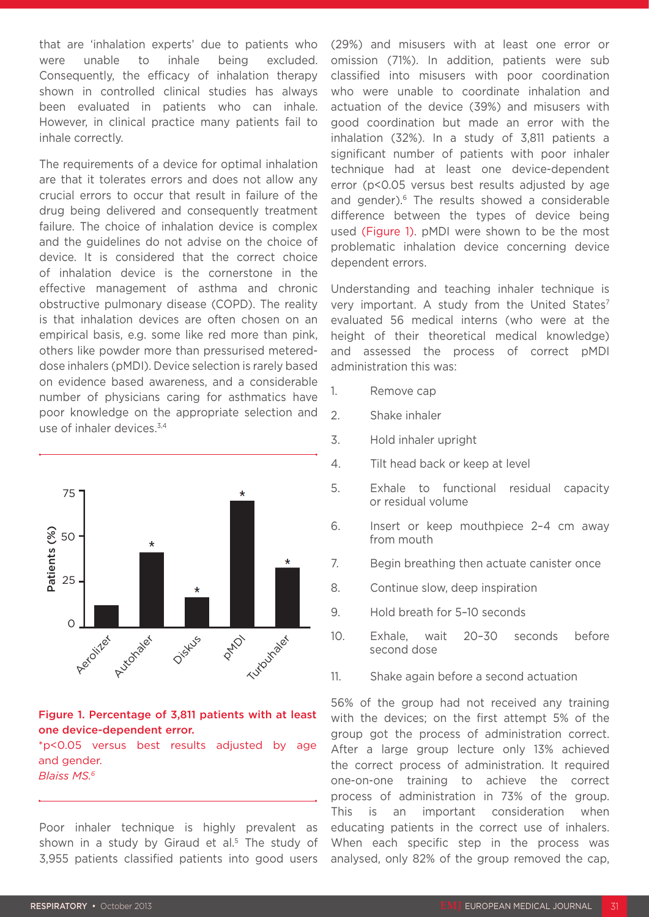that are 'inhalation experts' due to patients who were unable to inhale being excluded. Consequently, the efficacy of inhalation therapy shown in controlled clinical studies has always been evaluated in patients who can inhale. However, in clinical practice many patients fail to inhale correctly.

The requirements of a device for optimal inhalation are that it tolerates errors and does not allow any crucial errors to occur that result in failure of the drug being delivered and consequently treatment failure. The choice of inhalation device is complex and the guidelines do not advise on the choice of device. It is considered that the correct choice of inhalation device is the cornerstone in the effective management of asthma and chronic obstructive pulmonary disease (COPD). The reality is that inhalation devices are often chosen on an empirical basis, e.g. some like red more than pink, others like powder more than pressurised metereddose inhalers (pMDI). Device selection is rarely based on evidence based awareness, and a considerable number of physicians caring for asthmatics have poor knowledge on the appropriate selection and use of inhaler devices.3,4



### Figure 1. Percentage of 3,811 patients with at least one device-dependent error.

\*p<0.05 versus best results adjusted by age and gender. *Blaiss MS.6*

Poor inhaler technique is highly prevalent as shown in a study by Giraud et al.<sup>5</sup> The study of 3,955 patients classified patients into good users (29%) and misusers with at least one error or omission (71%). In addition, patients were sub classified into misusers with poor coordination who were unable to coordinate inhalation and actuation of the device (39%) and misusers with good coordination but made an error with the inhalation (32%). In a study of 3,811 patients a significant number of patients with poor inhaler technique had at least one device-dependent error (p<0.05 versus best results adjusted by age and gender).<sup>6</sup> The results showed a considerable difference between the types of device being used (Figure 1). pMDI were shown to be the most problematic inhalation device concerning device dependent errors.

Understanding and teaching inhaler technique is very important. A study from the United States<sup>7</sup> evaluated 56 medical interns (who were at the height of their theoretical medical knowledge) and assessed the process of correct pMDI administration this was:

- 1. Remove cap
- 2. Shake inhaler
- 3. Hold inhaler upright
- 4. Tilt head back or keep at level
- 5. Exhale to functional residual capacity or residual volume
- 6. Insert or keep mouthpiece 2–4 cm away from mouth
- 7. Begin breathing then actuate canister once
- 8. Continue slow, deep inspiration
- 9. Hold breath for 5–10 seconds
- 10. Exhale, wait 20–30 seconds before second dose
- 11. Shake again before a second actuation

56% of the group had not received any training with the devices; on the first attempt 5% of the group got the process of administration correct. After a large group lecture only 13% achieved the correct process of administration. It required one-on-one training to achieve the correct process of administration in 73% of the group. This is an important consideration when educating patients in the correct use of inhalers. When each specific step in the process was analysed, only 82% of the group removed the cap,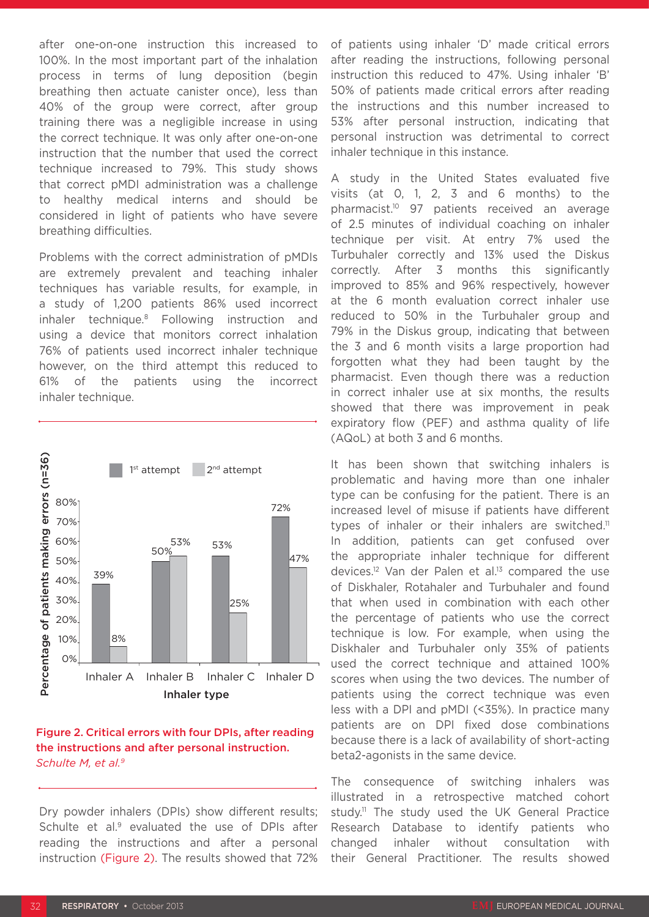after one-on-one instruction this increased to 100%. In the most important part of the inhalation process in terms of lung deposition (begin breathing then actuate canister once), less than 40% of the group were correct, after group training there was a negligible increase in using the correct technique. It was only after one-on-one instruction that the number that used the correct technique increased to 79%. This study shows that correct pMDI administration was a challenge to healthy medical interns and should be considered in light of patients who have severe breathing difficulties.

Problems with the correct administration of pMDIs are extremely prevalent and teaching inhaler techniques has variable results, for example, in a study of 1,200 patients 86% used incorrect inhaler technique.8 Following instruction and using a device that monitors correct inhalation 76% of patients used incorrect inhaler technique however, on the third attempt this reduced to 61% of the patients using the incorrect inhaler technique.



### Figure 2. Critical errors with four DPIs, after reading the instructions and after personal instruction. *Schulte M, et al.9*

Dry powder inhalers (DPIs) show different results; Schulte et al.<sup>9</sup> evaluated the use of DPIs after reading the instructions and after a personal instruction (Figure 2). The results showed that 72%

of patients using inhaler 'D' made critical errors after reading the instructions, following personal instruction this reduced to 47%. Using inhaler 'B' 50% of patients made critical errors after reading the instructions and this number increased to 53% after personal instruction, indicating that personal instruction was detrimental to correct inhaler technique in this instance.

A study in the United States evaluated five visits (at 0, 1, 2, 3 and 6 months) to the pharmacist.10 97 patients received an average of 2.5 minutes of individual coaching on inhaler technique per visit. At entry 7% used the Turbuhaler correctly and 13% used the Diskus correctly. After 3 months this significantly improved to 85% and 96% respectively, however at the 6 month evaluation correct inhaler use reduced to 50% in the Turbuhaler group and 79% in the Diskus group, indicating that between the 3 and 6 month visits a large proportion had forgotten what they had been taught by the pharmacist. Even though there was a reduction in correct inhaler use at six months, the results showed that there was improvement in peak expiratory flow (PEF) and asthma quality of life (AQoL) at both 3 and 6 months.

It has been shown that switching inhalers is problematic and having more than one inhaler type can be confusing for the patient. There is an increased level of misuse if patients have different types of inhaler or their inhalers are switched.<sup>11</sup> In addition, patients can get confused over the appropriate inhaler technique for different devices.12 Van der Palen et al.13 compared the use of Diskhaler, Rotahaler and Turbuhaler and found that when used in combination with each other the percentage of patients who use the correct technique is low. For example, when using the Diskhaler and Turbuhaler only 35% of patients used the correct technique and attained 100% scores when using the two devices. The number of patients using the correct technique was even less with a DPI and pMDI (<35%). In practice many patients are on DPI fixed dose combinations because there is a lack of availability of short-acting beta2-agonists in the same device.

The consequence of switching inhalers was illustrated in a retrospective matched cohort study.<sup>11</sup> The study used the UK General Practice Research Database to identify patients who changed inhaler without consultation with their General Practitioner. The results showed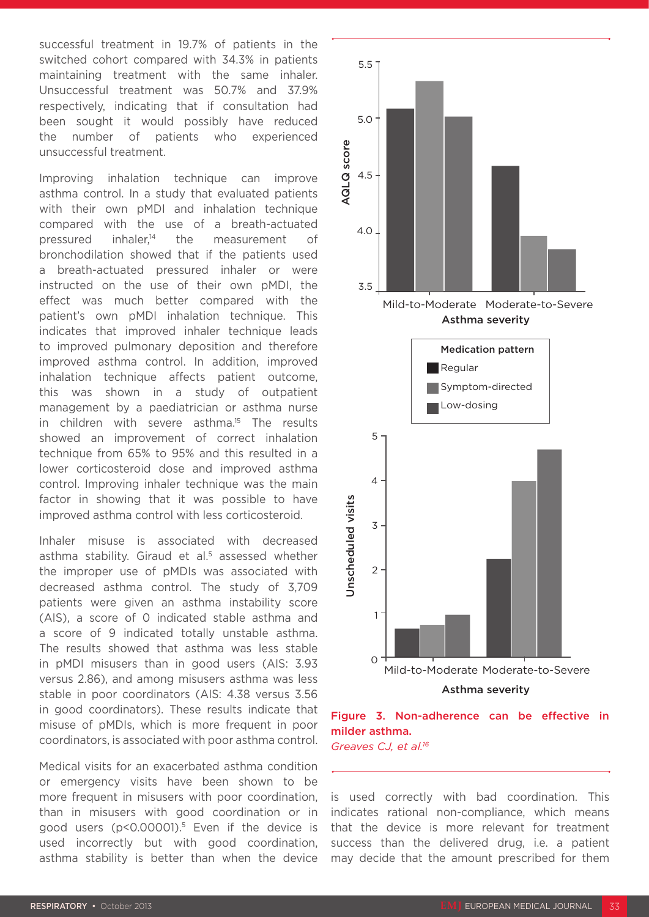successful treatment in 19.7% of patients in the switched cohort compared with 34.3% in patients maintaining treatment with the same inhaler. Unsuccessful treatment was 50.7% and 37.9% respectively, indicating that if consultation had been sought it would possibly have reduced the number of patients who experienced unsuccessful treatment.

Improving inhalation technique can improve asthma control. In a study that evaluated patients with their own pMDI and inhalation technique compared with the use of a breath-actuated pressured inhaler.<sup>14</sup> the measurement of bronchodilation showed that if the patients used a breath-actuated pressured inhaler or were instructed on the use of their own pMDI, the effect was much better compared with the patient's own pMDI inhalation technique. This indicates that improved inhaler technique leads to improved pulmonary deposition and therefore improved asthma control. In addition, improved inhalation technique affects patient outcome, this was shown in a study of outpatient management by a paediatrician or asthma nurse in children with severe asthma.<sup>15</sup> The results showed an improvement of correct inhalation technique from 65% to 95% and this resulted in a lower corticosteroid dose and improved asthma control. Improving inhaler technique was the main factor in showing that it was possible to have improved asthma control with less corticosteroid.

Inhaler misuse is associated with decreased asthma stability. Giraud et al.<sup>5</sup> assessed whether the improper use of pMDIs was associated with decreased asthma control. The study of 3,709 patients were given an asthma instability score (AIS), a score of 0 indicated stable asthma and a score of 9 indicated totally unstable asthma. The results showed that asthma was less stable in pMDI misusers than in good users (AIS: 3.93 versus 2.86), and among misusers asthma was less stable in poor coordinators (AIS: 4.38 versus 3.56 in good coordinators). These results indicate that misuse of pMDIs, which is more frequent in poor coordinators, is associated with poor asthma control.

Medical visits for an exacerbated asthma condition or emergency visits have been shown to be more frequent in misusers with poor coordination, than in misusers with good coordination or in good users (p<0.00001).5 Even if the device is used incorrectly but with good coordination, asthma stability is better than when the device





*Greaves CJ, et al.16*

is used correctly with bad coordination. This indicates rational non-compliance, which means that the device is more relevant for treatment success than the delivered drug, i.e. a patient may decide that the amount prescribed for them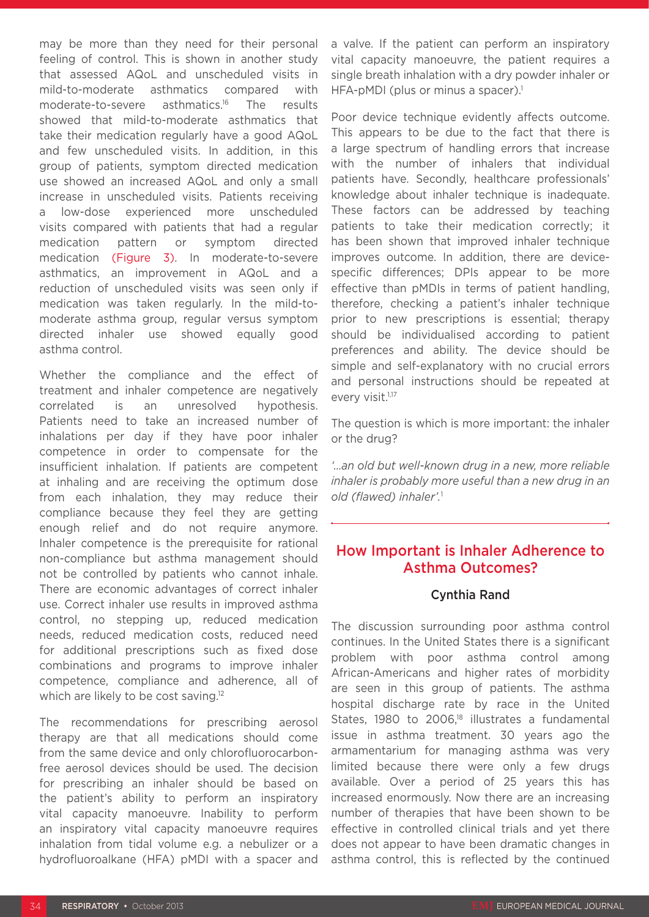may be more than they need for their personal feeling of control. This is shown in another study that assessed AQoL and unscheduled visits in mild-to-moderate asthmatics compared with moderate-to-severe asthmatics.16 The results showed that mild-to-moderate asthmatics that take their medication regularly have a good AQoL and few unscheduled visits. In addition, in this group of patients, symptom directed medication use showed an increased AQoL and only a small increase in unscheduled visits. Patients receiving a low-dose experienced more unscheduled visits compared with patients that had a regular medication pattern or symptom directed medication (Figure 3). In moderate-to-severe asthmatics, an improvement in AQoL and a reduction of unscheduled visits was seen only if medication was taken regularly. In the mild-tomoderate asthma group, regular versus symptom directed inhaler use showed equally good asthma control.

Whether the compliance and the effect of treatment and inhaler competence are negatively correlated is an unresolved hypothesis. Patients need to take an increased number of inhalations per day if they have poor inhaler competence in order to compensate for the insufficient inhalation. If patients are competent at inhaling and are receiving the optimum dose from each inhalation, they may reduce their compliance because they feel they are getting enough relief and do not require anymore. Inhaler competence is the prerequisite for rational non-compliance but asthma management should not be controlled by patients who cannot inhale. There are economic advantages of correct inhaler use. Correct inhaler use results in improved asthma control, no stepping up, reduced medication needs, reduced medication costs, reduced need for additional prescriptions such as fixed dose combinations and programs to improve inhaler competence, compliance and adherence, all of which are likely to be cost saving.<sup>12</sup>

The recommendations for prescribing aerosol therapy are that all medications should come from the same device and only chlorofluorocarbonfree aerosol devices should be used. The decision for prescribing an inhaler should be based on the patient's ability to perform an inspiratory vital capacity manoeuvre. Inability to perform an inspiratory vital capacity manoeuvre requires inhalation from tidal volume e.g. a nebulizer or a hydrofluoroalkane (HFA) pMDI with a spacer and a valve. If the patient can perform an inspiratory vital capacity manoeuvre, the patient requires a single breath inhalation with a dry powder inhaler or HFA-pMDI (plus or minus a spacer).<sup>1</sup>

Poor device technique evidently affects outcome. This appears to be due to the fact that there is a large spectrum of handling errors that increase with the number of inhalers that individual patients have. Secondly, healthcare professionals' knowledge about inhaler technique is inadequate. These factors can be addressed by teaching patients to take their medication correctly; it has been shown that improved inhaler technique improves outcome. In addition, there are devicespecific differences; DPIs appear to be more effective than pMDIs in terms of patient handling, therefore, checking a patient's inhaler technique prior to new prescriptions is essential; therapy should be individualised according to patient preferences and ability. The device should be simple and self-explanatory with no crucial errors and personal instructions should be repeated at every visit.<sup>1,17</sup>

The question is which is more important: the inhaler or the drug?

*'…an old but well-known drug in a new, more reliable inhaler is probably more useful than a new drug in an old (flawed) inhaler'.*<sup>1</sup>

### How Important is Inhaler Adherence to Asthma Outcomes?

### Cynthia Rand

The discussion surrounding poor asthma control continues. In the United States there is a significant problem with poor asthma control among African-Americans and higher rates of morbidity are seen in this group of patients. The asthma hospital discharge rate by race in the United States, 1980 to 2006,<sup>18</sup> illustrates a fundamental issue in asthma treatment. 30 years ago the armamentarium for managing asthma was very limited because there were only a few drugs available. Over a period of 25 years this has increased enormously. Now there are an increasing number of therapies that have been shown to be effective in controlled clinical trials and yet there does not appear to have been dramatic changes in asthma control, this is reflected by the continued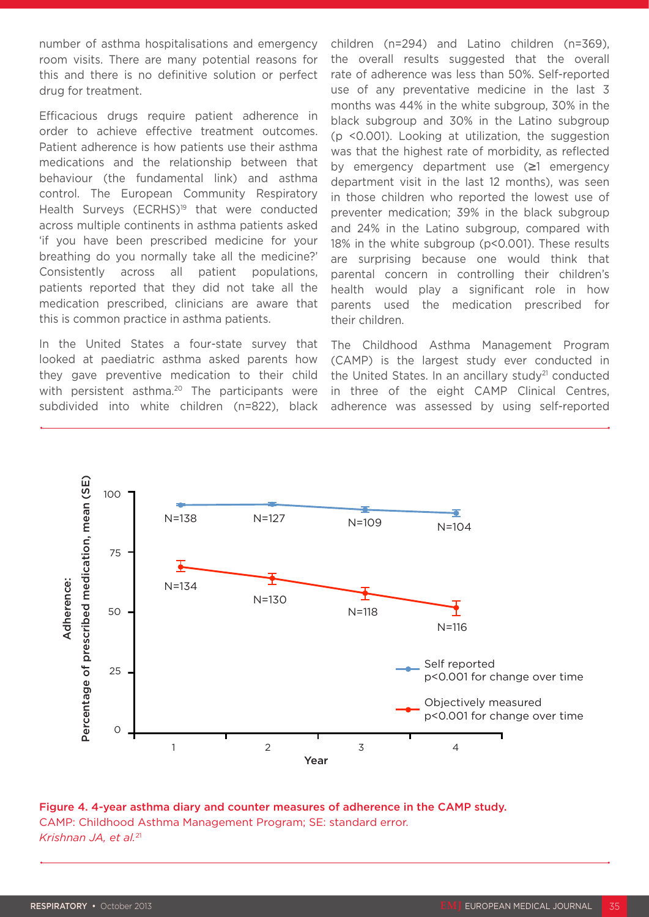number of asthma hospitalisations and emergency room visits. There are many potential reasons for this and there is no definitive solution or perfect drug for treatment.

Efficacious drugs require patient adherence in order to achieve effective treatment outcomes. Patient adherence is how patients use their asthma medications and the relationship between that behaviour (the fundamental link) and asthma control. The European Community Respiratory Health Surveys (ECRHS)<sup>19</sup> that were conducted across multiple continents in asthma patients asked 'if you have been prescribed medicine for your breathing do you normally take all the medicine?' Consistently across all patient populations, patients reported that they did not take all the medication prescribed, clinicians are aware that this is common practice in asthma patients.

In the United States a four-state survey that looked at paediatric asthma asked parents how they gave preventive medication to their child with persistent asthma.<sup>20</sup> The participants were subdivided into white children (n=822), black children (n=294) and Latino children (n=369), the overall results suggested that the overall rate of adherence was less than 50%. Self-reported use of any preventative medicine in the last 3 months was 44% in the white subgroup, 30% in the black subgroup and 30% in the Latino subgroup (p <0.001). Looking at utilization, the suggestion was that the highest rate of morbidity, as reflected by emergency department use (≥1 emergency department visit in the last 12 months), was seen in those children who reported the lowest use of preventer medication; 39% in the black subgroup and 24% in the Latino subgroup, compared with 18% in the white subgroup (p<0.001). These results are surprising because one would think that parental concern in controlling their children's health would play a significant role in how parents used the medication prescribed for their children.

The Childhood Asthma Management Program (CAMP) is the largest study ever conducted in the United States. In an ancillary study<sup>21</sup> conducted in three of the eight CAMP Clinical Centres, adherence was assessed by using self-reported



Figure 4. 4-year asthma diary and counter measures of adherence in the CAMP study. CAMP: Childhood Asthma Management Program; SE: standard error. *Krishnan JA, et al.*<sup>21</sup>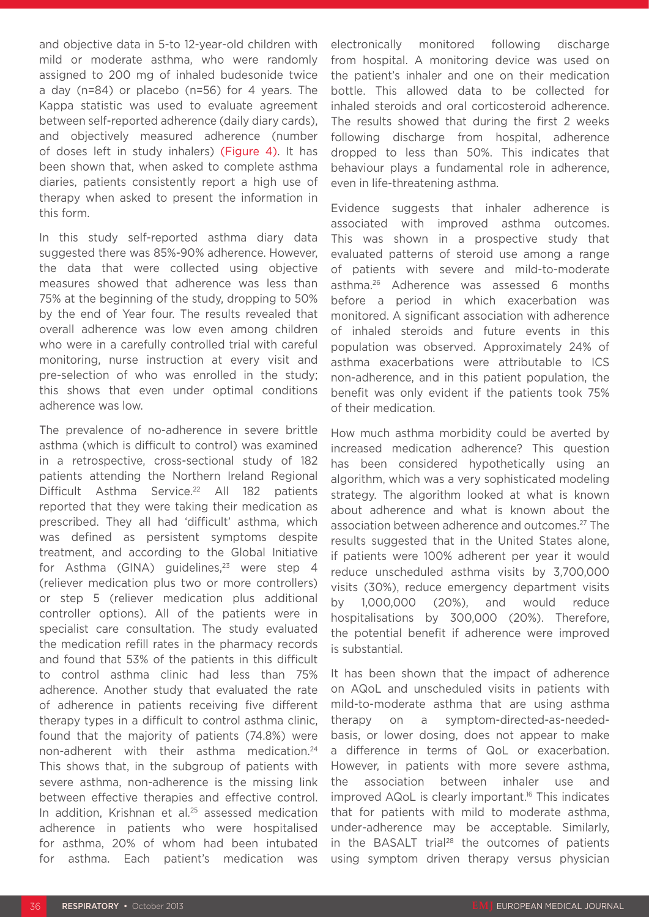and objective data in 5-to 12-year-old children with mild or moderate asthma, who were randomly assigned to 200 mg of inhaled budesonide twice a day (n=84) or placebo (n=56) for 4 years. The Kappa statistic was used to evaluate agreement between self-reported adherence (daily diary cards), and objectively measured adherence (number of doses left in study inhalers) (Figure 4). It has been shown that, when asked to complete asthma diaries, patients consistently report a high use of therapy when asked to present the information in this form.

In this study self-reported asthma diary data suggested there was 85%-90% adherence. However, the data that were collected using objective measures showed that adherence was less than 75% at the beginning of the study, dropping to 50% by the end of Year four. The results revealed that overall adherence was low even among children who were in a carefully controlled trial with careful monitoring, nurse instruction at every visit and pre-selection of who was enrolled in the study; this shows that even under optimal conditions adherence was low.

The prevalence of no-adherence in severe brittle asthma (which is difficult to control) was examined in a retrospective, cross-sectional study of 182 patients attending the Northern Ireland Regional Difficult Asthma Service.<sup>22</sup> All 182 patients reported that they were taking their medication as prescribed. They all had 'difficult' asthma, which was defined as persistent symptoms despite treatment, and according to the Global Initiative for Asthma (GINA) guidelines,<sup>23</sup> were step 4 (reliever medication plus two or more controllers) or step 5 (reliever medication plus additional controller options). All of the patients were in specialist care consultation. The study evaluated the medication refill rates in the pharmacy records and found that 53% of the patients in this difficult to control asthma clinic had less than 75% adherence. Another study that evaluated the rate of adherence in patients receiving five different therapy types in a difficult to control asthma clinic, found that the majority of patients (74.8%) were non-adherent with their asthma medication.24 This shows that, in the subgroup of patients with severe asthma, non-adherence is the missing link between effective therapies and effective control. In addition, Krishnan et al.<sup>25</sup> assessed medication adherence in patients who were hospitalised for asthma, 20% of whom had been intubated for asthma. Each patient's medication was

electronically monitored following discharge from hospital. A monitoring device was used on the patient's inhaler and one on their medication bottle. This allowed data to be collected for inhaled steroids and oral corticosteroid adherence. The results showed that during the first 2 weeks following discharge from hospital, adherence dropped to less than 50%. This indicates that behaviour plays a fundamental role in adherence, even in life-threatening asthma.

Evidence suggests that inhaler adherence is associated with improved asthma outcomes. This was shown in a prospective study that evaluated patterns of steroid use among a range of patients with severe and mild-to-moderate asthma.26 Adherence was assessed 6 months before a period in which exacerbation was monitored. A significant association with adherence of inhaled steroids and future events in this population was observed. Approximately 24% of asthma exacerbations were attributable to ICS non-adherence, and in this patient population, the benefit was only evident if the patients took 75% of their medication.

How much asthma morbidity could be averted by increased medication adherence? This question has been considered hypothetically using an algorithm, which was a very sophisticated modeling strategy. The algorithm looked at what is known about adherence and what is known about the association between adherence and outcomes.27 The results suggested that in the United States alone, if patients were 100% adherent per year it would reduce unscheduled asthma visits by 3,700,000 visits (30%), reduce emergency department visits by 1,000,000 (20%), and would reduce hospitalisations by 300,000 (20%). Therefore, the potential benefit if adherence were improved is substantial.

It has been shown that the impact of adherence on AQoL and unscheduled visits in patients with mild-to-moderate asthma that are using asthma therapy on a symptom-directed-as-neededbasis, or lower dosing, does not appear to make a difference in terms of QoL or exacerbation. However, in patients with more severe asthma, the association between inhaler use and improved AQoL is clearly important.<sup>16</sup> This indicates that for patients with mild to moderate asthma, under-adherence may be acceptable. Similarly, in the BASALT trial<sup>28</sup> the outcomes of patients using symptom driven therapy versus physician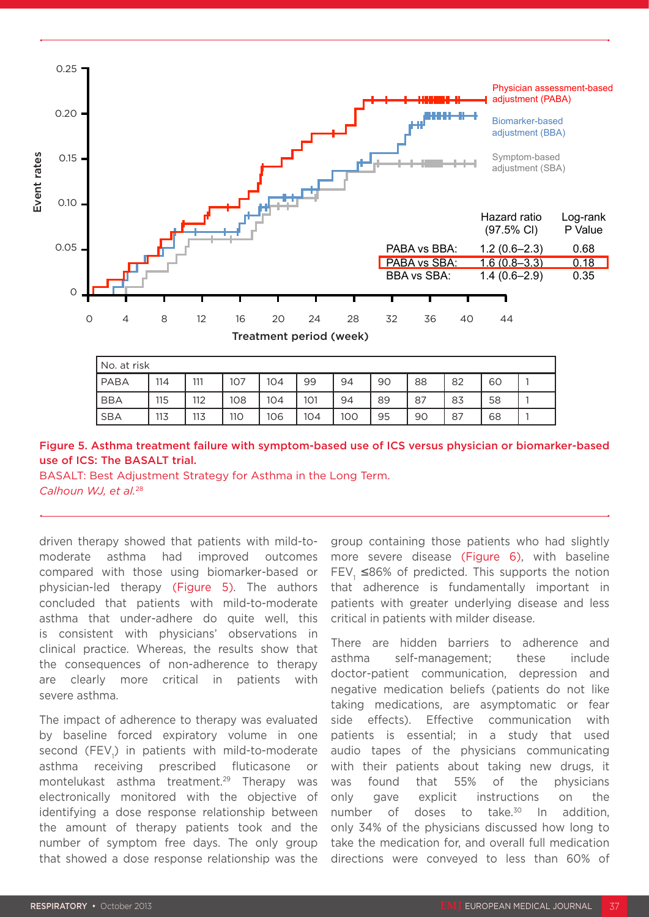

Asthmac and the control of the control of the control of the control of the control of the control of the control of the control of the control of the control of the control of the control of the control of the control of

physician-home control of the control of the control of the control of the control of the control of the control of the control of the control of the control of the control of the control of the control of the control of t

| No. at risk |     |     |     |     |     |     |    |    |    |    |  |
|-------------|-----|-----|-----|-----|-----|-----|----|----|----|----|--|
| PABA        | 114 | 111 | 107 | 104 | 99  | 94  | 90 | 88 | 82 | 60 |  |
| <b>BBA</b>  | 115 | 112 | 108 | 104 | 101 | 94  | 89 | 87 | 83 | 58 |  |
| <b>SBA</b>  | 113 | 113 | 110 | 106 | 104 | 100 | 95 | 90 | 87 | 68 |  |

### Figure 5. Asthma treatment failure with symptom-based use of ICS versus physician or biomarker-based use of ICS: The BASALT trial.

BASALT: Best Adjustment Strategy for Asthma in the Long Term.

driven therapy showed that patients with mild-tomoderate asthma had improved outcomes compared with those using biomarker-based or physician-led therapy (Figure 5). The authors concluded that patients with mild-to-moderate asthma that under-adhere do quite well, this is consistent with physicians' observations in clinical practice. Whereas, the results show that the consequences of non-adherence to therapy are clearly more critical in patients with severe asthma.

The impact of adherence to therapy was evaluated by baseline forced expiratory volume in one second (FEV<sub>1</sub>) in patients with mild-to-moderate asthma receiving prescribed fluticasone or montelukast asthma treatment.29 Therapy was electronically monitored with the objective of identifying a dose response relationship between the amount of therapy patients took and the number of symptom free days. The only group that showed a dose response relationship was the

group containing those patients who had slightly more severe disease (Figure 6), with baseline FEV,  $\leq$ 86% of predicted. This supports the notion that adherence is fundamentally important in patients with greater underlying disease and less critical in patients with milder disease.

There are hidden barriers to adherence and asthma self-management; these include doctor-patient communication, depression and negative medication beliefs (patients do not like taking medications, are asymptomatic or fear side effects). Effective communication with patients is essential; in a study that used audio tapes of the physicians communicating with their patients about taking new drugs, it was found that 55% of the physicians only gave explicit instructions on the number of doses to take. $30$  In addition, only 34% of the physicians discussed how long to take the medication for, and overall full medication directions were conveyed to less than 60% of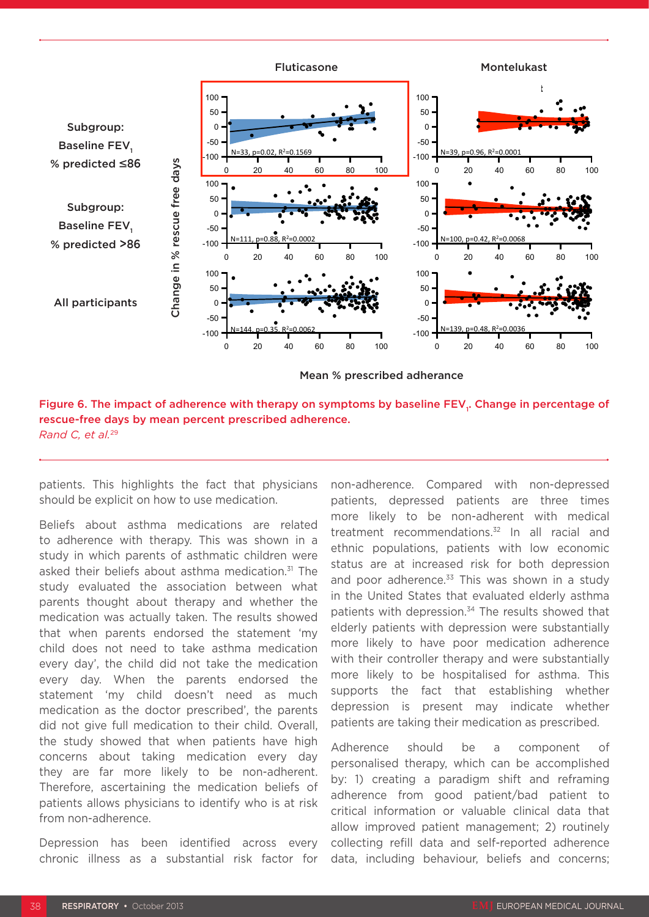

 $\mathcal{L} = \mathcal{L} \mathcal{L} \mathcal{L}$  , where  $\mathcal{L} = \mathcal{L} \mathcal{L} \mathcal{L} \mathcal{L} \mathcal{L}$  , where  $\mathcal{L} = \mathcal{L} \mathcal{L} \mathcal{L} \mathcal{L} \mathcal{L} \mathcal{L} \mathcal{L} \mathcal{L} \mathcal{L} \mathcal{L} \mathcal{L} \mathcal{L} \mathcal{L} \mathcal{L} \mathcal{L} \mathcal{L} \mathcal{L} \mathcal{L} \mathcal{L} \mathcal{L} \mathcal{L} \mathcal$ 

Figure 6. The impact of adherence with therapy on symptoms by baseline FEV<sub>1</sub>. Change in percentage of rescue-free days by mean percent prescribed adherence. *Rand C, et al.*<sup>29</sup>

patients. This highlights the fact that physicians should be explicit on how to use medication.

Beliefs about asthma medications are related to adherence with therapy. This was shown in a study in which parents of asthmatic children were asked their beliefs about asthma medication.<sup>31</sup> The study evaluated the association between what parents thought about therapy and whether the medication was actually taken. The results showed that when parents endorsed the statement 'my child does not need to take asthma medication every day', the child did not take the medication every day. When the parents endorsed the statement 'my child doesn't need as much medication as the doctor prescribed', the parents did not give full medication to their child. Overall, the study showed that when patients have high concerns about taking medication every day they are far more likely to be non-adherent. Therefore, ascertaining the medication beliefs of patients allows physicians to identify who is at risk from non-adherence.

Depression has been identified across every chronic illness as a substantial risk factor for non-adherence. Compared with non-depressed patients, depressed patients are three times more likely to be non-adherent with medical treatment recommendations.<sup>32</sup> In all racial and ethnic populations, patients with low economic status are at increased risk for both depression and poor adherence. $33$  This was shown in a study in the United States that evaluated elderly asthma patients with depression.<sup>34</sup> The results showed that elderly patients with depression were substantially more likely to have poor medication adherence with their controller therapy and were substantially more likely to be hospitalised for asthma. This supports the fact that establishing whether depression is present may indicate whether patients are taking their medication as prescribed.

Adherence should be a component of personalised therapy, which can be accomplished by: 1) creating a paradigm shift and reframing adherence from good patient/bad patient to critical information or valuable clinical data that allow improved patient management; 2) routinely collecting refill data and self-reported adherence data, including behaviour, beliefs and concerns;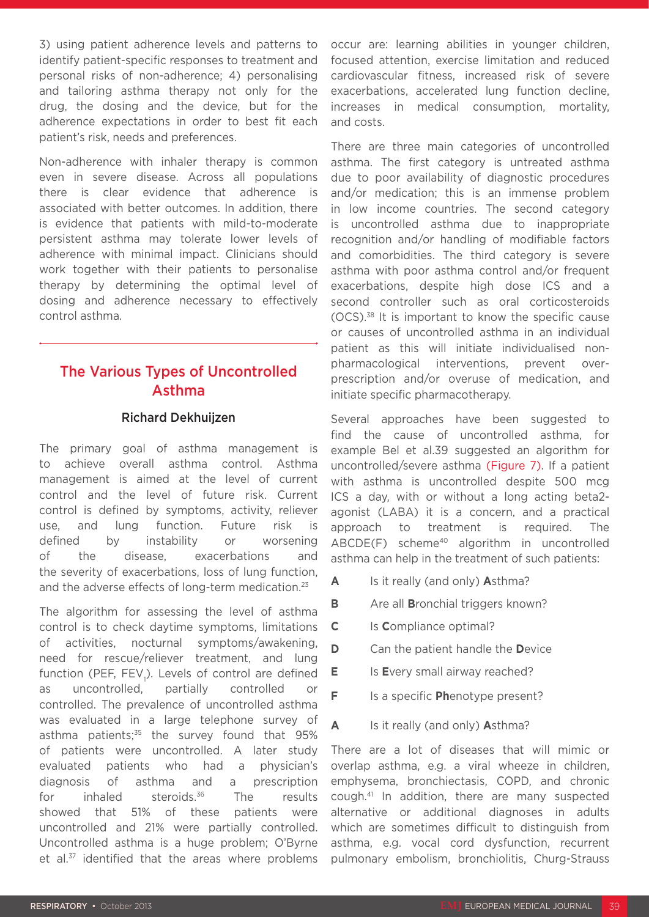3) using patient adherence levels and patterns to identify patient-specific responses to treatment and personal risks of non-adherence; 4) personalising and tailoring asthma therapy not only for the drug, the dosing and the device, but for the adherence expectations in order to best fit each patient's risk, needs and preferences.

Non-adherence with inhaler therapy is common even in severe disease. Across all populations there is clear evidence that adherence is associated with better outcomes. In addition, there is evidence that patients with mild-to-moderate persistent asthma may tolerate lower levels of adherence with minimal impact. Clinicians should work together with their patients to personalise therapy by determining the optimal level of dosing and adherence necessary to effectively control asthma.

### The Various Types of Uncontrolled Asthma

### Richard Dekhuijzen

The primary goal of asthma management is to achieve overall asthma control. Asthma management is aimed at the level of current control and the level of future risk. Current control is defined by symptoms, activity, reliever use, and lung function. Future risk is defined by instability or worsening of the disease, exacerbations and the severity of exacerbations, loss of lung function, and the adverse effects of long-term medication.<sup>23</sup>

The algorithm for assessing the level of asthma control is to check daytime symptoms, limitations of activities, nocturnal symptoms/awakening, need for rescue/reliever treatment, and lung function (PEF, FEV<sub>1</sub>). Levels of control are defined as uncontrolled, partially controlled or controlled. The prevalence of uncontrolled asthma was evaluated in a large telephone survey of asthma patients:<sup>35</sup> the survey found that 95% of patients were uncontrolled. A later study evaluated patients who had a physician's diagnosis of asthma and a prescription for inhaled steroids.<sup>36</sup> The results showed that 51% of these patients were uncontrolled and 21% were partially controlled. Uncontrolled asthma is a huge problem; O'Byrne et al.<sup>37</sup> identified that the areas where problems

occur are: learning abilities in younger children, focused attention, exercise limitation and reduced cardiovascular fitness, increased risk of severe exacerbations, accelerated lung function decline, increases in medical consumption, mortality, and costs.

There are three main categories of uncontrolled asthma. The first category is untreated asthma due to poor availability of diagnostic procedures and/or medication; this is an immense problem in low income countries. The second category is uncontrolled asthma due to inappropriate recognition and/or handling of modifiable factors and comorbidities. The third category is severe asthma with poor asthma control and/or frequent exacerbations, despite high dose ICS and a second controller such as oral corticosteroids (OCS).38 It is important to know the specific cause or causes of uncontrolled asthma in an individual patient as this will initiate individualised nonpharmacological interventions, prevent overprescription and/or overuse of medication, and initiate specific pharmacotherapy.

Several approaches have been suggested to find the cause of uncontrolled asthma, for example Bel et al.39 suggested an algorithm for uncontrolled/severe asthma (Figure 7). If a patient with asthma is uncontrolled despite 500 mcg ICS a day, with or without a long acting beta2 agonist (LABA) it is a concern, and a practical approach to treatment is required. The ABCDE(F) scheme<sup>40</sup> algorithm in uncontrolled asthma can help in the treatment of such patients:

- **A** Is it really (and only) **A**sthma?
- **B** Are all **B**ronchial triggers known?
- **C** Is **C**ompliance optimal?
- **D** Can the patient handle the **D**evice
- **E** Is Every small airway reached?
- **F** Is a specific **Ph**enotype present?
- **A** Is it really (and only) **A**sthma?

There are a lot of diseases that will mimic or overlap asthma, e.g. a viral wheeze in children, emphysema, bronchiectasis, COPD, and chronic cough.41 In addition, there are many suspected alternative or additional diagnoses in adults which are sometimes difficult to distinguish from asthma, e.g. vocal cord dysfunction, recurrent pulmonary embolism, bronchiolitis, Churg-Strauss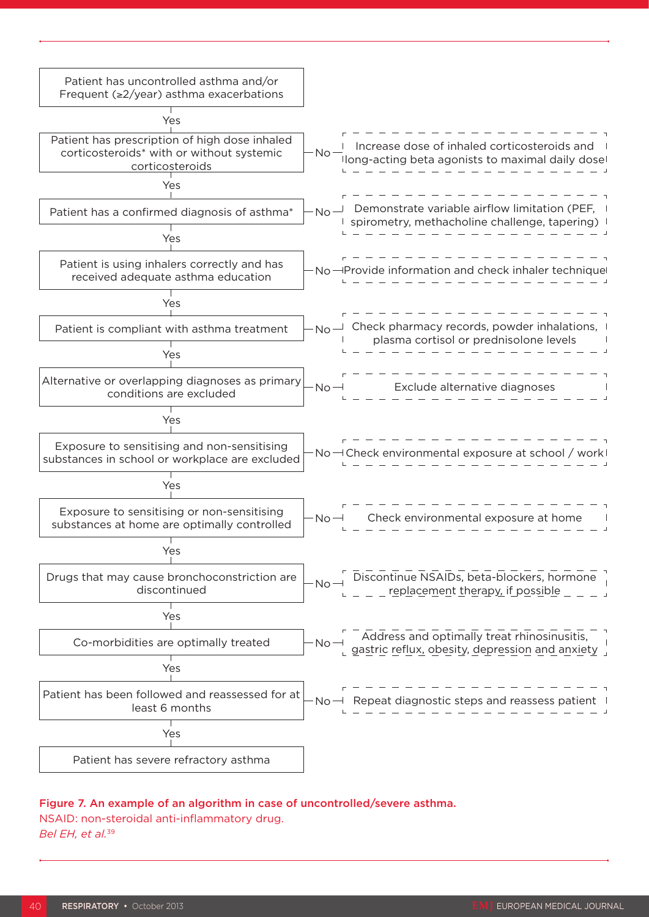

#### Figure 7. An example of an algorithm in case of uncontrolled/severe asthma.

#### NSAID: non-steroidal anti-inflammatory drug.

*Bel EH, et al.*<sup>39</sup>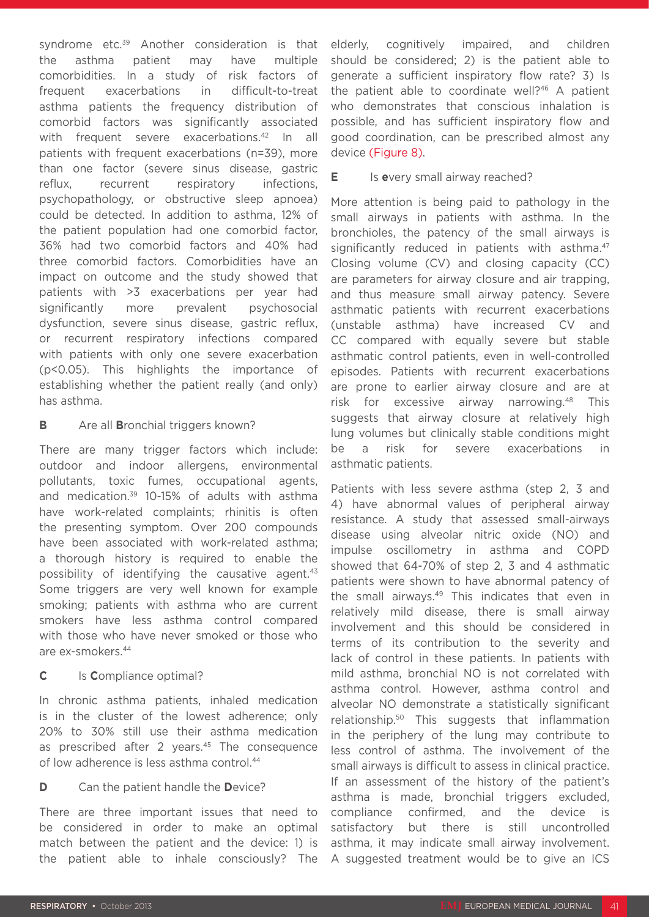syndrome etc.<sup>39</sup> Another consideration is that the asthma patient may have multiple comorbidities. In a study of risk factors of frequent exacerbations in difficult-to-treat asthma patients the frequency distribution of comorbid factors was significantly associated with frequent severe exacerbations.<sup>42</sup> In all patients with frequent exacerbations (n=39), more than one factor (severe sinus disease, gastric reflux, recurrent respiratory infections, psychopathology, or obstructive sleep apnoea) could be detected. In addition to asthma, 12% of the patient population had one comorbid factor, 36% had two comorbid factors and 40% had three comorbid factors. Comorbidities have an impact on outcome and the study showed that patients with >3 exacerbations per year had significantly more prevalent psychosocial dysfunction, severe sinus disease, gastric reflux, or recurrent respiratory infections compared with patients with only one severe exacerbation (p<0.05). This highlights the importance of establishing whether the patient really (and only) has asthma.

### **B** Are all **B**ronchial triggers known?

There are many trigger factors which include: outdoor and indoor allergens, environmental pollutants, toxic fumes, occupational agents, and medication.39 10-15% of adults with asthma have work-related complaints; rhinitis is often the presenting symptom. Over 200 compounds have been associated with work-related asthma; a thorough history is required to enable the possibility of identifying the causative agent. $43$ Some triggers are very well known for example smoking; patients with asthma who are current smokers have less asthma control compared with those who have never smoked or those who are ex-smokers.44

### **C** Is **C**ompliance optimal?

In chronic asthma patients, inhaled medication is in the cluster of the lowest adherence; only 20% to 30% still use their asthma medication as prescribed after 2 years.<sup>45</sup> The consequence of low adherence is less asthma control.<sup>44</sup>

### **D** Can the patient handle the **D**evice?

There are three important issues that need to be considered in order to make an optimal match between the patient and the device: 1) is the patient able to inhale consciously? The

elderly, cognitively impaired, and children should be considered; 2) is the patient able to generate a sufficient inspiratory flow rate? 3) Is the patient able to coordinate well?<sup>46</sup> A patient who demonstrates that conscious inhalation is possible, and has sufficient inspiratory flow and good coordination, can be prescribed almost any device (Figure 8).

### **E** Is every small airway reached?

More attention is being paid to pathology in the small airways in patients with asthma. In the bronchioles, the patency of the small airways is significantly reduced in patients with asthma.<sup>47</sup> Closing volume (CV) and closing capacity (CC) are parameters for airway closure and air trapping, and thus measure small airway patency. Severe asthmatic patients with recurrent exacerbations (unstable asthma) have increased CV and CC compared with equally severe but stable asthmatic control patients, even in well-controlled episodes. Patients with recurrent exacerbations are prone to earlier airway closure and are at risk for excessive airway narrowing.48 This suggests that airway closure at relatively high lung volumes but clinically stable conditions might be a risk for severe exacerbations in asthmatic patients.

Patients with less severe asthma (step 2, 3 and 4) have abnormal values of peripheral airway resistance. A study that assessed small-airways disease using alveolar nitric oxide (NO) and impulse oscillometry in asthma and COPD showed that 64-70% of step 2, 3 and 4 asthmatic patients were shown to have abnormal patency of the small airways.<sup>49</sup> This indicates that even in relatively mild disease, there is small airway involvement and this should be considered in terms of its contribution to the severity and lack of control in these patients. In patients with mild asthma, bronchial NO is not correlated with asthma control. However, asthma control and alveolar NO demonstrate a statistically significant relationship.50 This suggests that inflammation in the periphery of the lung may contribute to less control of asthma. The involvement of the small airways is difficult to assess in clinical practice. If an assessment of the history of the patient's asthma is made, bronchial triggers excluded, compliance confirmed, and the device is satisfactory but there is still uncontrolled asthma, it may indicate small airway involvement. A suggested treatment would be to give an ICS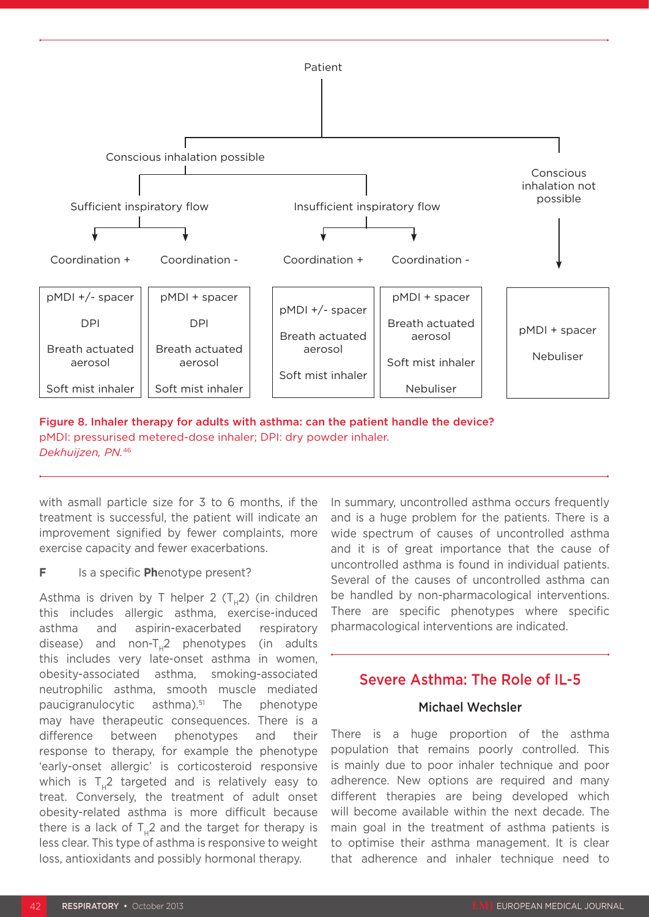

Figure 8. Inhaler therapy for adults with asthma: can the patient handle the device? pMDI: pressurised metered-dose inhaler; DPI: dry powder inhaler. *Dekhuijzen, PN.*<sup>46</sup>

with asmall particle size for 3 to 6 months, if the treatment is successful, the patient will indicate an improvement signified by fewer complaints, more exercise capacity and fewer exacerbations.

### **F** Is a specific **Ph**enotype present?

Asthma is driven by T helper 2  $(T_42)$  (in children this includes allergic asthma, exercise-induced asthma and aspirin-exacerbated respiratory disease) and non-T<sub>1</sub>2 phenotypes (in adults this includes very late-onset asthma in women, obesity-associated asthma, smoking-associated neutrophilic asthma, smooth muscle mediated paucigranulocytic asthma).51 The phenotype may have therapeutic consequences. There is a difference between phenotypes and their response to therapy, for example the phenotype 'early-onset allergic' is corticosteroid responsive which is  $T_1$ 2 targeted and is relatively easy to treat. Conversely, the treatment of adult onset obesity-related asthma is more difficult because there is a lack of  $T<sub>u</sub>2$  and the target for therapy is less clear. This type of asthma is responsive to weight loss, antioxidants and possibly hormonal therapy.

In summary, uncontrolled asthma occurs frequently and is a huge problem for the patients. There is a wide spectrum of causes of uncontrolled asthma and it is of great importance that the cause of uncontrolled asthma is found in individual patients. Several of the causes of uncontrolled asthma can be handled by non-pharmacological interventions. There are specific phenotypes where specific pharmacological interventions are indicated.

### Severe Asthma: The Role of IL-5

### Michael Wechsler

There is a huge proportion of the asthma population that remains poorly controlled. This is mainly due to poor inhaler technique and poor adherence. New options are required and many different therapies are being developed which will become available within the next decade. The main goal in the treatment of asthma patients is to optimise their asthma management. It is clear that adherence and inhaler technique need to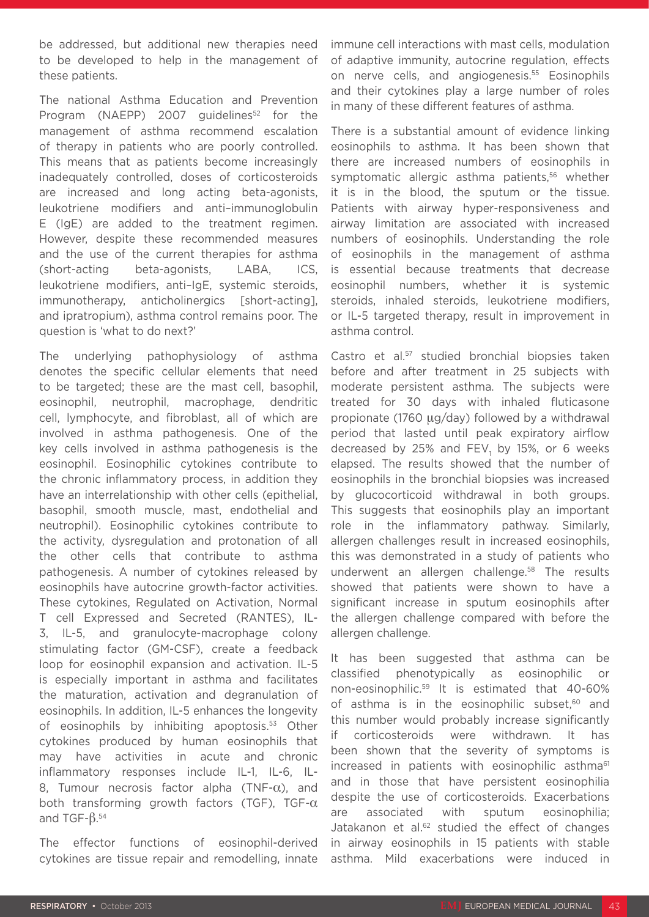be addressed, but additional new therapies need to be developed to help in the management of these patients.

The national Asthma Education and Prevention Program (NAEPP) 2007 guidelines<sup>52</sup> for the management of asthma recommend escalation of therapy in patients who are poorly controlled. This means that as patients become increasingly inadequately controlled, doses of corticosteroids are increased and long acting beta-agonists, leukotriene modifiers and anti–immunoglobulin E (IgE) are added to the treatment regimen. However, despite these recommended measures and the use of the current therapies for asthma (short-acting beta-agonists, LABA, ICS, leukotriene modifiers, anti–IgE, systemic steroids, immunotherapy, anticholinergics [short-acting], and ipratropium), asthma control remains poor. The question is 'what to do next?'

The underlying pathophysiology of asthma denotes the specific cellular elements that need to be targeted; these are the mast cell, basophil, eosinophil, neutrophil, macrophage, dendritic cell, lymphocyte, and fibroblast, all of which are involved in asthma pathogenesis. One of the key cells involved in asthma pathogenesis is the eosinophil. Eosinophilic cytokines contribute to the chronic inflammatory process, in addition they have an interrelationship with other cells (epithelial, basophil, smooth muscle, mast, endothelial and neutrophil). Eosinophilic cytokines contribute to the activity, dysregulation and protonation of all the other cells that contribute to asthma pathogenesis. A number of cytokines released by eosinophils have autocrine growth-factor activities. These cytokines, Regulated on Activation, Normal T cell Expressed and Secreted (RANTES), IL-3, IL-5, and granulocyte-macrophage colony stimulating factor (GM-CSF), create a feedback loop for eosinophil expansion and activation. IL-5 is especially important in asthma and facilitates the maturation, activation and degranulation of eosinophils. In addition, IL-5 enhances the longevity of eosinophils by inhibiting apoptosis.<sup>53</sup> Other cytokines produced by human eosinophils that may have activities in acute and chronic inflammatory responses include IL-1, IL-6, IL-8, Tumour necrosis factor alpha (TNF- $\alpha$ ), and both transforming growth factors (TGF), TGF- $\alpha$ and TGF- $β.^{54}$ 

The effector functions of eosinophil-derived cytokines are tissue repair and remodelling, innate

immune cell interactions with mast cells, modulation of adaptive immunity, autocrine regulation, effects on nerve cells, and angiogenesis.55 Eosinophils and their cytokines play a large number of roles in many of these different features of asthma.

There is a substantial amount of evidence linking eosinophils to asthma. It has been shown that there are increased numbers of eosinophils in symptomatic allergic asthma patients,<sup>56</sup> whether it is in the blood, the sputum or the tissue. Patients with airway hyper-responsiveness and airway limitation are associated with increased numbers of eosinophils. Understanding the role of eosinophils in the management of asthma is essential because treatments that decrease eosinophil numbers, whether it is systemic steroids, inhaled steroids, leukotriene modifiers, or IL-5 targeted therapy, result in improvement in asthma control.

Castro et al.<sup>57</sup> studied bronchial biopsies taken before and after treatment in 25 subjects with moderate persistent asthma. The subjects were treated for 30 days with inhaled fluticasone propionate (1760 µg/day) followed by a withdrawal period that lasted until peak expiratory airflow decreased by 25% and  $FEV<sub>1</sub>$  by 15%, or 6 weeks elapsed. The results showed that the number of eosinophils in the bronchial biopsies was increased by glucocorticoid withdrawal in both groups. This suggests that eosinophils play an important role in the inflammatory pathway. Similarly, allergen challenges result in increased eosinophils, this was demonstrated in a study of patients who underwent an allergen challenge.<sup>58</sup> The results showed that patients were shown to have a significant increase in sputum eosinophils after the allergen challenge compared with before the allergen challenge.

It has been suggested that asthma can be classified phenotypically as eosinophilic or non-eosinophilic.59 It is estimated that 40-60% of asthma is in the eosinophilic subset,<sup>60</sup> and this number would probably increase significantly if corticosteroids were withdrawn. It has been shown that the severity of symptoms is increased in patients with eosinophilic asthma<sup>61</sup> and in those that have persistent eosinophilia despite the use of corticosteroids. Exacerbations are associated with sputum eosinophilia; Jatakanon et al.<sup>62</sup> studied the effect of changes in airway eosinophils in 15 patients with stable asthma. Mild exacerbations were induced in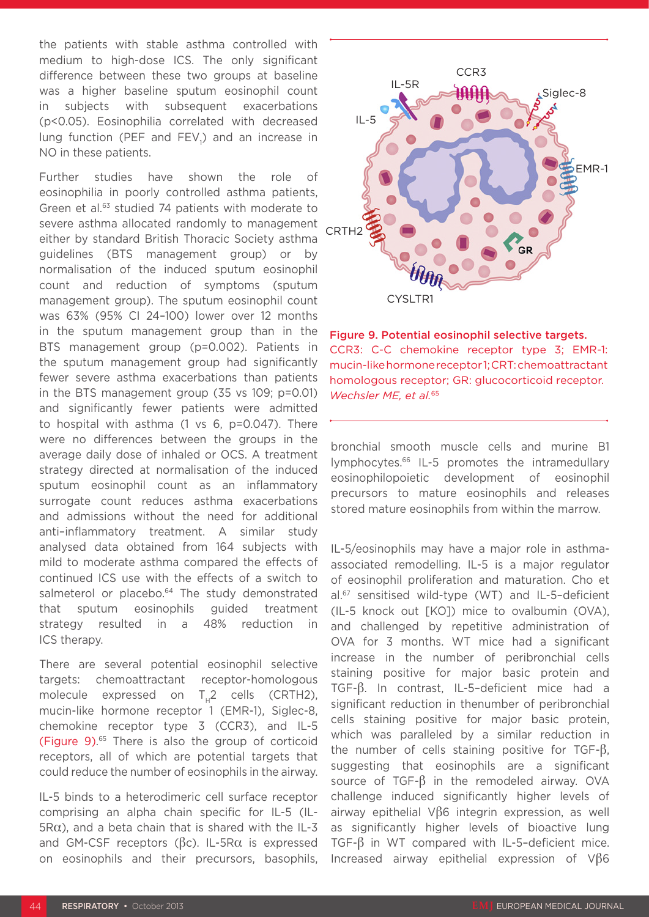the patients with stable asthma controlled with medium to high-dose ICS. The only significant difference between these two groups at baseline was a higher baseline sputum eosinophil count in subjects with subsequent exacerbations (p<0.05). Eosinophilia correlated with decreased lung function (PEF and FEV<sub>1</sub>) and an increase in NO in these patients.

Further studies have shown the role of eosinophilia in poorly controlled asthma patients, Green et al.<sup>63</sup> studied 74 patients with moderate to severe asthma allocated randomly to management either by standard British Thoracic Society asthma guidelines (BTS management group) or by normalisation of the induced sputum eosinophil count and reduction of symptoms (sputum management group). The sputum eosinophil count was 63% (95% CI 24–100) lower over 12 months in the sputum management group than in the BTS management group (p=0.002). Patients in the sputum management group had significantly fewer severe asthma exacerbations than patients in the BTS management group (35 vs 109; p=0.01) and significantly fewer patients were admitted to hospital with asthma (1 vs 6, p=0.047). There were no differences between the groups in the average daily dose of inhaled or OCS. A treatment strategy directed at normalisation of the induced sputum eosinophil count as an inflammatory surrogate count reduces asthma exacerbations and admissions without the need for additional anti–inflammatory treatment. A similar study analysed data obtained from 164 subjects with mild to moderate asthma compared the effects of continued ICS use with the effects of a switch to salmeterol or placebo.<sup>64</sup> The study demonstrated that sputum eosinophils guided treatment strategy resulted in a 48% reduction in ICS therapy.

There are several potential eosinophil selective targets: chemoattractant receptor-homologous molecule expressed on  $T<sub>H</sub>2$  cells (CRTH2), mucin-like hormone receptor 1 (EMR-1), Siglec-8, chemokine receptor type 3 (CCR3), and IL-5 (Figure 9). 65 There is also the group of corticoid receptors, all of which are potential targets that could reduce the number of eosinophils in the airway.

IL-5 binds to a heterodimeric cell surface receptor comprising an alpha chain specific for IL-5 (IL- $5R\alpha$ ), and a beta chain that is shared with the IL-3 and GM-CSF receptors ( $βc$ ). IL-5Rα is expressed on eosinophils and their precursors, basophils,



Figure 9. Potential eosinophil selective targets. CCR3: C-C chemokine receptor type 3; EMR-1: mucin-like hormone receptor 1; CRT: chemoattractant homologous receptor; GR: glucocorticoid receptor. *Wechsler ME, et al.*<sup>65</sup>

bronchial smooth muscle cells and murine B1 lymphocytes.66 IL-5 promotes the intramedullary eosinophilopoietic development of eosinophil precursors to mature eosinophils and releases stored mature eosinophils from within the marrow.

IL-5/eosinophils may have a major role in asthmaassociated remodelling. IL-5 is a major regulator of eosinophil proliferation and maturation. Cho et al.67 sensitised wild-type (WT) and IL-5–deficient (IL-5 knock out [KO]) mice to ovalbumin (OVA), and challenged by repetitive administration of OVA for 3 months. WT mice had a significant increase in the number of peribronchial cells staining positive for major basic protein and TGF-β. In contrast, IL-5–deficient mice had a significant reduction in thenumber of peribronchial cells staining positive for major basic protein, which was paralleled by a similar reduction in the number of cells staining positive for TGF-β, suggesting that eosinophils are a significant source of TGF-β in the remodeled airway. OVA challenge induced significantly higher levels of airway epithelial Vβ6 integrin expression, as well as significantly higher levels of bioactive lung TGF-β in WT compared with IL-5–deficient mice. Increased airway epithelial expression of Vβ6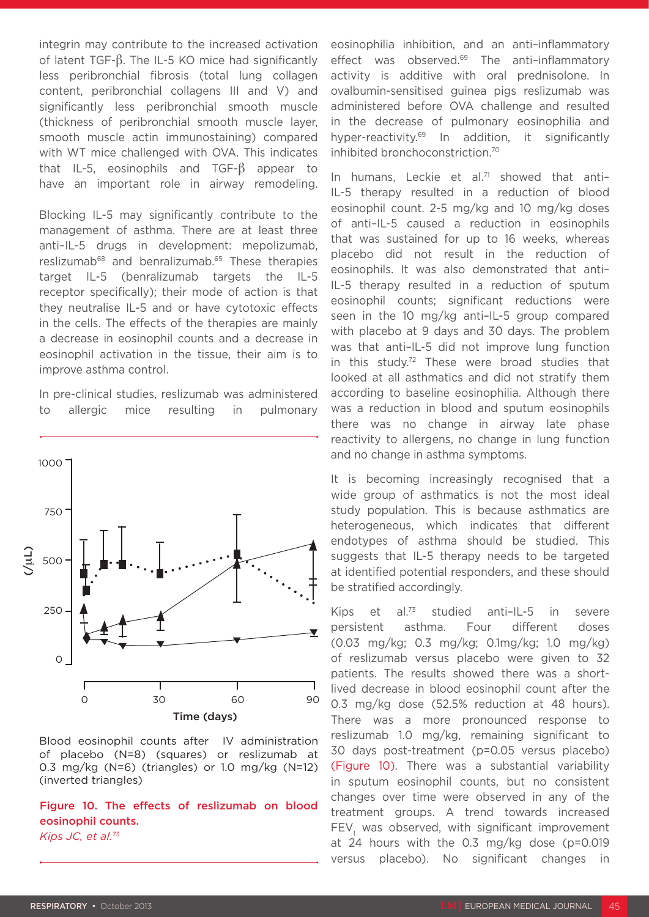integrin may contribute to the increased activation of latent TGF-β. The IL-5 KO mice had significantly less peribronchial fibrosis (total lung collagen content, peribronchial collagens III and V) and significantly less peribronchial smooth muscle (thickness of peribronchial smooth muscle layer, smooth muscle actin immunostaining) compared with WT mice challenged with OVA. This indicates that IL-5, eosinophils and TGF-β appear to have an important role in airway remodeling.

Blocking IL-5 may significantly contribute to the management of asthma. There are at least three anti–IL-5 drugs in development: mepolizumab, reslizumab<sup>68</sup> and benralizumab.<sup>65</sup> These therapies target IL-5 (benralizumab targets the IL-5 receptor specifically); their mode of action is that they neutralise IL-5 and or have cytotoxic effects in the cells. The effects of the therapies are mainly a decrease in eosinophil counts and a decrease in eosinophil activation in the tissue, their aim is to improve asthma control.

In pre-clinical studies, reslizumab was administered to allergic mice resulting in pulmonary



Blood eosinophil counts after IV administration of placebo (N=8) (squares) or reslizumab at 0.3 mg/kg (N=6) (triangles) or 1.0 mg/kg (N=12) (inverted triangles)

Figure 10. The effects of reslizumab on blood eosinophil counts. *Kips JC, et al.*73

eosinophilia inhibition, and an anti–inflammatory effect was observed.<sup>69</sup> The anti-inflammatory activity is additive with oral prednisolone. In ovalbumin-sensitised guinea pigs reslizumab was administered before OVA challenge and resulted in the decrease of pulmonary eosinophilia and hyper-reactivity.69 In addition, it significantly inhibited bronchoconstriction.70

In humans, Leckie et al.<sup>71</sup> showed that anti-IL-5 therapy resulted in a reduction of blood eosinophil count. 2-5 mg/kg and 10 mg/kg doses of anti–IL-5 caused a reduction in eosinophils that was sustained for up to 16 weeks, whereas placebo did not result in the reduction of eosinophils. It was also demonstrated that anti– IL-5 therapy resulted in a reduction of sputum eosinophil counts; significant reductions were seen in the 10 mg/kg anti–IL-5 group compared with placebo at 9 days and 30 days. The problem was that anti–IL-5 did not improve lung function in this study.72 These were broad studies that looked at all asthmatics and did not stratify them according to baseline eosinophilia. Although there was a reduction in blood and sputum eosinophils there was no change in airway late phase reactivity to allergens, no change in lung function and no change in asthma symptoms.

It is becoming increasingly recognised that a wide group of asthmatics is not the most ideal study population. This is because asthmatics are heterogeneous, which indicates that different endotypes of asthma should be studied. This suggests that IL-5 therapy needs to be targeted at identified potential responders, and these should be stratified accordingly.

Kips et al.<sup>73</sup> studied anti–IL-5 in severe persistent asthma. Four different doses (0.03 mg/kg; 0.3 mg/kg; 0.1mg/kg; 1.0 mg/kg) of reslizumab versus placebo were given to 32 patients. The results showed there was a shortlived decrease in blood eosinophil count after the 0.3 mg/kg dose (52.5% reduction at 48 hours). There was a more pronounced response to reslizumab 1.0 mg/kg, remaining significant to 30 days post-treatment (p=0.05 versus placebo) (Figure 10). There was a substantial variability in sputum eosinophil counts, but no consistent changes over time were observed in any of the treatment groups. A trend towards increased  $\mathsf{FEV}_1$  was observed, with significant improvement at 24 hours with the 0.3 mg/kg dose (p=0.019 versus placebo). No significant changes in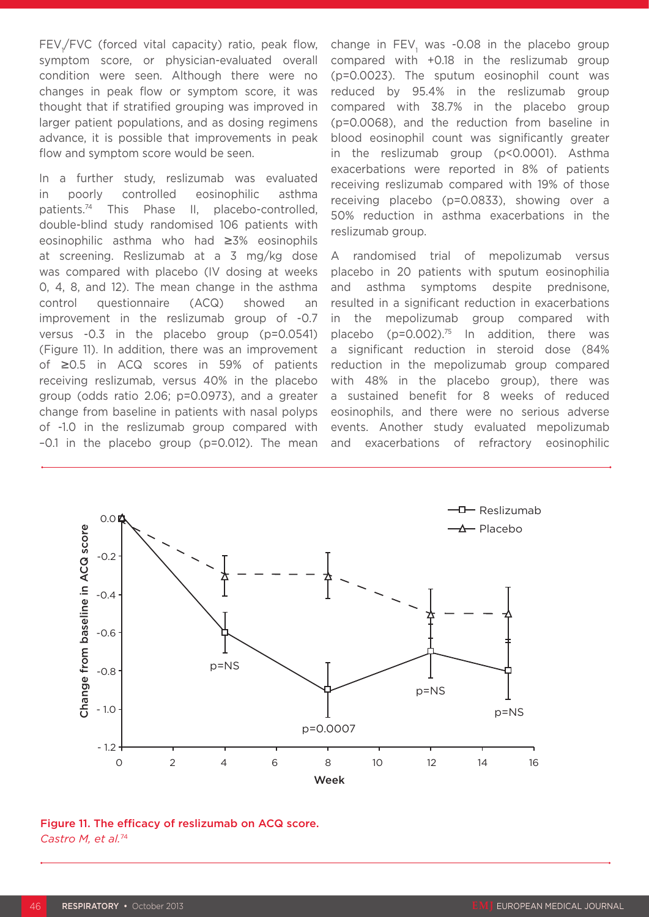FEV<sub>1</sub>/FVC (forced vital capacity) ratio, peak flow, symptom score, or physician-evaluated overall condition were seen. Although there were no changes in peak flow or symptom score, it was thought that if stratified grouping was improved in larger patient populations, and as dosing regimens advance, it is possible that improvements in peak flow and symptom score would be seen.

In a further study, reslizumab was evaluated in poorly controlled eosinophilic asthma patients.74 This Phase II, placebo-controlled, double-blind study randomised 106 patients with eosinophilic asthma who had ≥3% eosinophils at screening. Reslizumab at a 3 mg/kg dose was compared with placebo (IV dosing at weeks 0, 4, 8, and 12). The mean change in the asthma control questionnaire (ACQ) showed an improvement in the reslizumab group of -0.7 versus -0.3 in the placebo group (p=0.0541) (Figure 11). In addition, there was an improvement of ≥0.5 in ACQ scores in 59% of patients receiving reslizumab, versus 40% in the placebo group (odds ratio 2.06; p=0.0973), and a greater change from baseline in patients with nasal polyps of -1.0 in the reslizumab group compared with –0.1 in the placebo group (p=0.012). The mean

change in  $\text{FEV}_1$  was -0.08 in the placebo group compared with +0.18 in the reslizumab group (p=0.0023). The sputum eosinophil count was reduced by 95.4% in the reslizumab group compared with 38.7% in the placebo group (p=0.0068), and the reduction from baseline in blood eosinophil count was significantly greater in the reslizumab group (p<0.0001). Asthma exacerbations were reported in 8% of patients receiving reslizumab compared with 19% of those receiving placebo (p=0.0833), showing over a 50% reduction in asthma exacerbations in the reslizumab group.

A randomised trial of mepolizumab versus placebo in 20 patients with sputum eosinophilia and asthma symptoms despite prednisone, resulted in a significant reduction in exacerbations in the mepolizumab group compared with placebo (p=0.002).<sup>75</sup> In addition, there was a significant reduction in steroid dose (84% reduction in the mepolizumab group compared with 48% in the placebo group), there was a sustained benefit for 8 weeks of reduced eosinophils, and there were no serious adverse events. Another study evaluated mepolizumab and exacerbations of refractory eosinophilic



Figure 11. The efficacy of reslizumab on ACQ score. *Castro M, et al.*74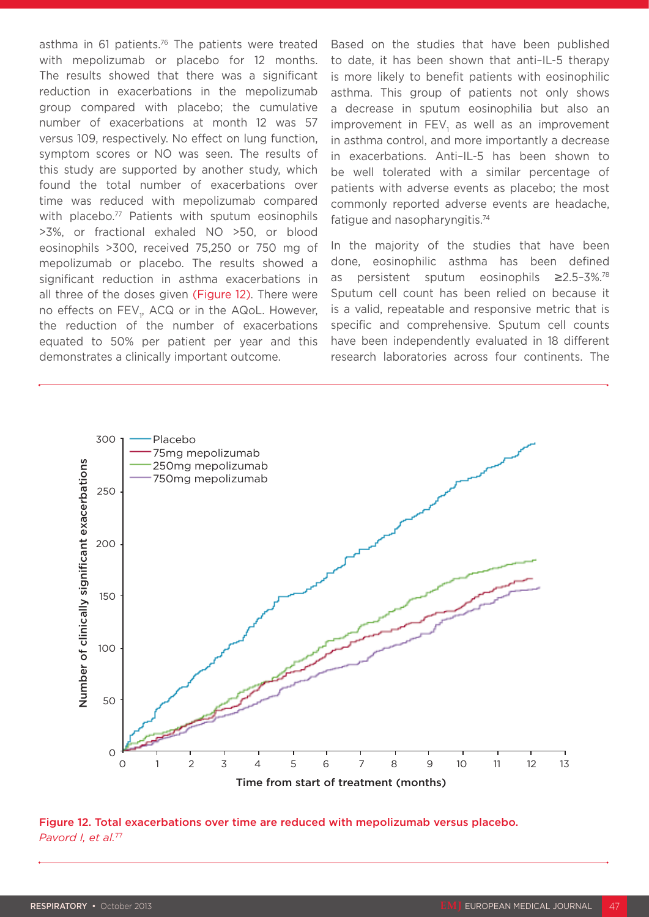asthma in 61 patients.<sup>76</sup> The patients were treated with mepolizumab or placebo for 12 months. The results showed that there was a significant reduction in exacerbations in the mepolizumab group compared with placebo; the cumulative number of exacerbations at month 12 was 57 versus 109, respectively. No effect on lung function, symptom scores or NO was seen. The results of this study are supported by another study, which found the total number of exacerbations over time was reduced with mepolizumab compared with placebo.<sup>77</sup> Patients with sputum eosinophils >3%, or fractional exhaled NO >50, or blood eosinophils >300, received 75,250 or 750 mg of mepolizumab or placebo. The results showed a significant reduction in asthma exacerbations in all three of the doses given (Figure 12). There were no effects on FEV<sub>1</sub>, ACQ or in the AQoL. However, the reduction of the number of exacerbations equated to 50% per patient per year and this demonstrates a clinically important outcome.

Based on the studies that have been published to date, it has been shown that anti–IL-5 therapy is more likely to benefit patients with eosinophilic asthma. This group of patients not only shows a decrease in sputum eosinophilia but also an improvement in FEV<sub>1</sub> as well as an improvement in asthma control, and more importantly a decrease in exacerbations. Anti–IL-5 has been shown to be well tolerated with a similar percentage of patients with adverse events as placebo; the most commonly reported adverse events are headache, fatigue and nasopharyngitis.74

In the majority of the studies that have been done, eosinophilic asthma has been defined as persistent sputum eosinophils ≥2.5–3%.78 Sputum cell count has been relied on because it is a valid, repeatable and responsive metric that is specific and comprehensive. Sputum cell counts have been independently evaluated in 18 different research laboratories across four continents. The



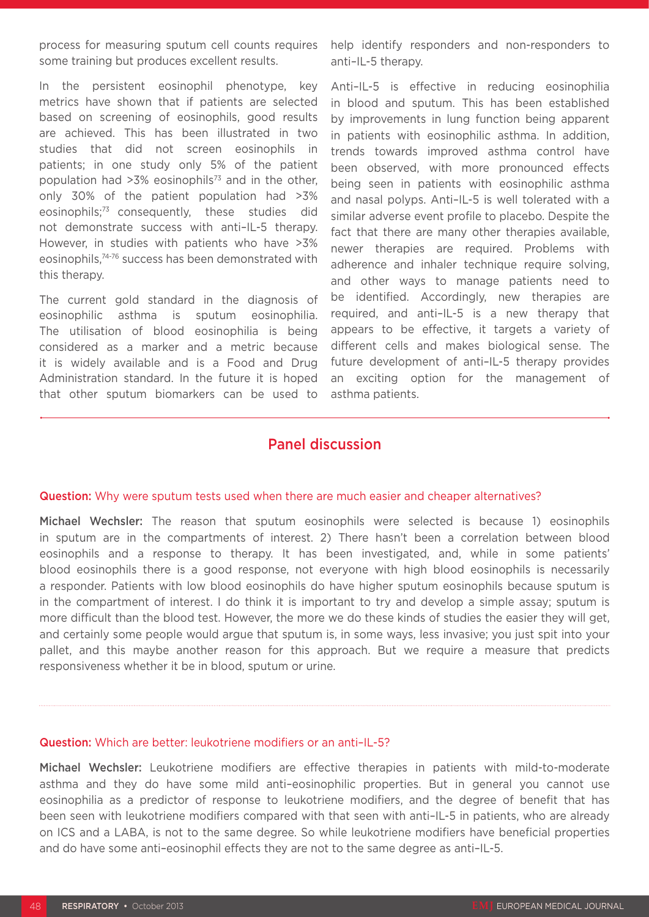process for measuring sputum cell counts requires some training but produces excellent results.

In the persistent eosinophil phenotype, key metrics have shown that if patients are selected based on screening of eosinophils, good results are achieved. This has been illustrated in two studies that did not screen eosinophils in patients; in one study only 5% of the patient population had  $>3\%$  eosinophils<sup>73</sup> and in the other, only 30% of the patient population had >3% eosinophils;73 consequently, these studies did not demonstrate success with anti–IL-5 therapy. However, in studies with patients who have >3% eosinophils,74-76 success has been demonstrated with this therapy.

The current gold standard in the diagnosis of eosinophilic asthma is sputum eosinophilia. The utilisation of blood eosinophilia is being considered as a marker and a metric because it is widely available and is a Food and Drug Administration standard. In the future it is hoped that other sputum biomarkers can be used to

help identify responders and non-responders to anti–IL-5 therapy.

Anti–IL-5 is effective in reducing eosinophilia in blood and sputum. This has been established by improvements in lung function being apparent in patients with eosinophilic asthma. In addition, trends towards improved asthma control have been observed, with more pronounced effects being seen in patients with eosinophilic asthma and nasal polyps. Anti–IL-5 is well tolerated with a similar adverse event profile to placebo. Despite the fact that there are many other therapies available, newer therapies are required. Problems with adherence and inhaler technique require solving, and other ways to manage patients need to be identified. Accordingly, new therapies are required, and anti–IL-5 is a new therapy that appears to be effective, it targets a variety of different cells and makes biological sense. The future development of anti–IL-5 therapy provides an exciting option for the management of asthma patients.

### Panel discussion

#### Question: Why were sputum tests used when there are much easier and cheaper alternatives?

Michael Wechsler: The reason that sputum eosinophils were selected is because 1) eosinophils in sputum are in the compartments of interest. 2) There hasn't been a correlation between blood eosinophils and a response to therapy. It has been investigated, and, while in some patients' blood eosinophils there is a good response, not everyone with high blood eosinophils is necessarily a responder. Patients with low blood eosinophils do have higher sputum eosinophils because sputum is in the compartment of interest. I do think it is important to try and develop a simple assay; sputum is more difficult than the blood test. However, the more we do these kinds of studies the easier they will get, and certainly some people would argue that sputum is, in some ways, less invasive; you just spit into your pallet, and this maybe another reason for this approach. But we require a measure that predicts responsiveness whether it be in blood, sputum or urine.

#### Question: Which are better: leukotriene modifiers or an anti–IL-5?

Michael Wechsler: Leukotriene modifiers are effective therapies in patients with mild-to-moderate asthma and they do have some mild anti–eosinophilic properties. But in general you cannot use eosinophilia as a predictor of response to leukotriene modifiers, and the degree of benefit that has been seen with leukotriene modifiers compared with that seen with anti–IL-5 in patients, who are already on ICS and a LABA, is not to the same degree. So while leukotriene modifiers have beneficial properties and do have some anti–eosinophil effects they are not to the same degree as anti–IL-5.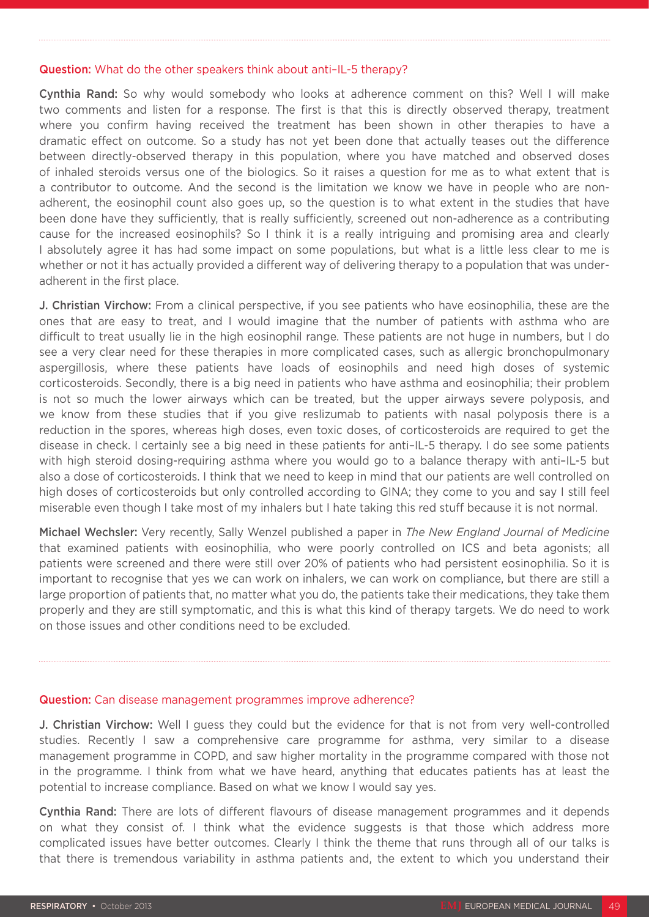### Question: What do the other speakers think about anti–IL-5 therapy?

Cynthia Rand: So why would somebody who looks at adherence comment on this? Well I will make two comments and listen for a response. The first is that this is directly observed therapy, treatment where you confirm having received the treatment has been shown in other therapies to have a dramatic effect on outcome. So a study has not yet been done that actually teases out the difference between directly-observed therapy in this population, where you have matched and observed doses of inhaled steroids versus one of the biologics. So it raises a question for me as to what extent that is a contributor to outcome. And the second is the limitation we know we have in people who are nonadherent, the eosinophil count also goes up, so the question is to what extent in the studies that have been done have they sufficiently, that is really sufficiently, screened out non-adherence as a contributing cause for the increased eosinophils? So I think it is a really intriguing and promising area and clearly I absolutely agree it has had some impact on some populations, but what is a little less clear to me is whether or not it has actually provided a different way of delivering therapy to a population that was underadherent in the first place.

J. Christian Virchow: From a clinical perspective, if you see patients who have eosinophilia, these are the ones that are easy to treat, and I would imagine that the number of patients with asthma who are difficult to treat usually lie in the high eosinophil range. These patients are not huge in numbers, but I do see a very clear need for these therapies in more complicated cases, such as allergic bronchopulmonary aspergillosis, where these patients have loads of eosinophils and need high doses of systemic corticosteroids. Secondly, there is a big need in patients who have asthma and eosinophilia; their problem is not so much the lower airways which can be treated, but the upper airways severe polyposis, and we know from these studies that if you give reslizumab to patients with nasal polyposis there is a reduction in the spores, whereas high doses, even toxic doses, of corticosteroids are required to get the disease in check. I certainly see a big need in these patients for anti–IL-5 therapy. I do see some patients with high steroid dosing-requiring asthma where you would go to a balance therapy with anti–IL-5 but also a dose of corticosteroids. I think that we need to keep in mind that our patients are well controlled on high doses of corticosteroids but only controlled according to GINA; they come to you and say I still feel miserable even though I take most of my inhalers but I hate taking this red stuff because it is not normal.

Michael Wechsler: Very recently, Sally Wenzel published a paper in *The New England Journal of Medicine*  that examined patients with eosinophilia, who were poorly controlled on ICS and beta agonists; all patients were screened and there were still over 20% of patients who had persistent eosinophilia. So it is important to recognise that yes we can work on inhalers, we can work on compliance, but there are still a large proportion of patients that, no matter what you do, the patients take their medications, they take them properly and they are still symptomatic, and this is what this kind of therapy targets. We do need to work on those issues and other conditions need to be excluded.

### Question: Can disease management programmes improve adherence?

J. Christian Virchow: Well I guess they could but the evidence for that is not from very well-controlled studies. Recently I saw a comprehensive care programme for asthma, very similar to a disease management programme in COPD, and saw higher mortality in the programme compared with those not in the programme. I think from what we have heard, anything that educates patients has at least the potential to increase compliance. Based on what we know I would say yes.

Cynthia Rand: There are lots of different flavours of disease management programmes and it depends on what they consist of. I think what the evidence suggests is that those which address more complicated issues have better outcomes. Clearly I think the theme that runs through all of our talks is that there is tremendous variability in asthma patients and, the extent to which you understand their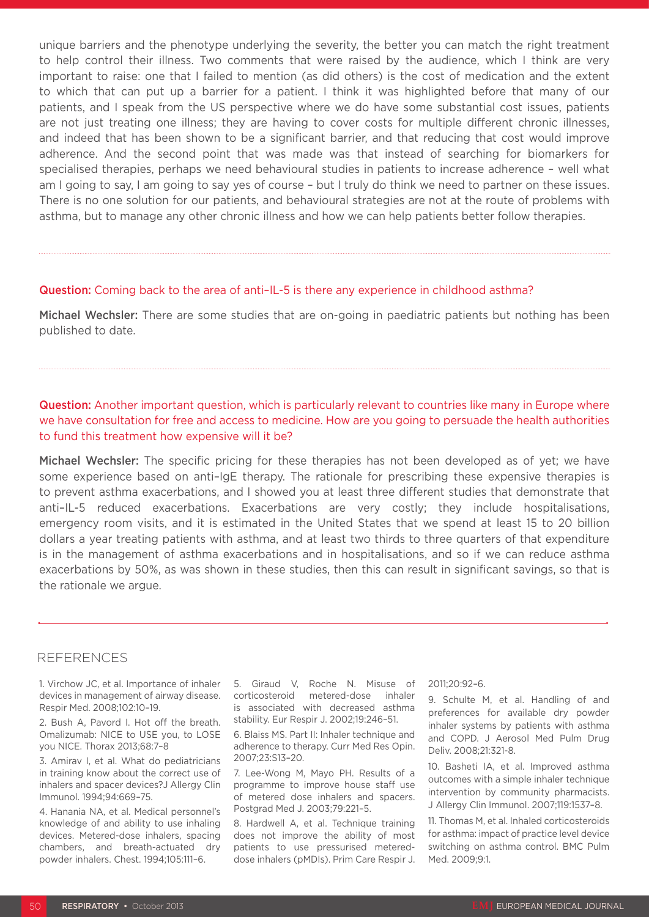unique barriers and the phenotype underlying the severity, the better you can match the right treatment to help control their illness. Two comments that were raised by the audience, which I think are very important to raise: one that I failed to mention (as did others) is the cost of medication and the extent to which that can put up a barrier for a patient. I think it was highlighted before that many of our patients, and I speak from the US perspective where we do have some substantial cost issues, patients are not just treating one illness; they are having to cover costs for multiple different chronic illnesses, and indeed that has been shown to be a significant barrier, and that reducing that cost would improve adherence. And the second point that was made was that instead of searching for biomarkers for specialised therapies, perhaps we need behavioural studies in patients to increase adherence – well what am I going to say, I am going to say yes of course – but I truly do think we need to partner on these issues. There is no one solution for our patients, and behavioural strategies are not at the route of problems with asthma, but to manage any other chronic illness and how we can help patients better follow therapies.

#### Question: Coming back to the area of anti-IL-5 is there any experience in childhood asthma?

Michael Wechsler: There are some studies that are on-going in paediatric patients but nothing has been published to date.

### Question: Another important question, which is particularly relevant to countries like many in Europe where we have consultation for free and access to medicine. How are you going to persuade the health authorities to fund this treatment how expensive will it be?

Michael Wechsler: The specific pricing for these therapies has not been developed as of yet; we have some experience based on anti–IgE therapy. The rationale for prescribing these expensive therapies is to prevent asthma exacerbations, and I showed you at least three different studies that demonstrate that anti–IL-5 reduced exacerbations. Exacerbations are very costly; they include hospitalisations, emergency room visits, and it is estimated in the United States that we spend at least 15 to 20 billion dollars a year treating patients with asthma, and at least two thirds to three quarters of that expenditure is in the management of asthma exacerbations and in hospitalisations, and so if we can reduce asthma exacerbations by 50%, as was shown in these studies, then this can result in significant savings, so that is the rationale we argue.

### REFERENCES

1. Virchow JC, et al. Importance of inhaler devices in management of airway disease. Respir Med. 2008;102:10–19.

2. Bush A, Pavord I. Hot off the breath. Omalizumab: NICE to USE you, to LOSE you NICE. Thorax 2013;68:7–8

3. Amirav I, et al. What do pediatricians in training know about the correct use of inhalers and spacer devices?J Allergy Clin Immunol. 1994;94:669–75.

4. Hanania NA, et al. Medical personnel's knowledge of and ability to use inhaling devices. Metered-dose inhalers, spacing chambers, and breath-actuated dry powder inhalers. Chest. 1994;105:111–6.

5. Giraud V, Roche N. Misuse of corticosteroid metered-dose inhaler is associated with decreased asthma stability. Eur Respir J. 2002;19:246–51.

6. Blaiss MS. Part II: Inhaler technique and adherence to therapy. Curr Med Res Opin. 2007;23:S13–20.

7. Lee-Wong M, Mayo PH. Results of a programme to improve house staff use of metered dose inhalers and spacers. Postgrad Med J. 2003;79:221–5.

8. Hardwell A, et al. Technique training does not improve the ability of most patients to use pressurised metereddose inhalers (pMDIs). Prim Care Respir J.

#### 2011;20:92–6.

9. Schulte M, et al. Handling of and preferences for available dry powder inhaler systems by patients with asthma and COPD. J Aerosol Med Pulm Drug Deliv. 2008;21:321-8.

10. Basheti IA, et al. Improved asthma outcomes with a simple inhaler technique intervention by community pharmacists. J Allergy Clin Immunol. 2007;119:1537–8.

11. Thomas M, et al. Inhaled corticosteroids for asthma: impact of practice level device switching on asthma control. BMC Pulm Med. 2009;9:1.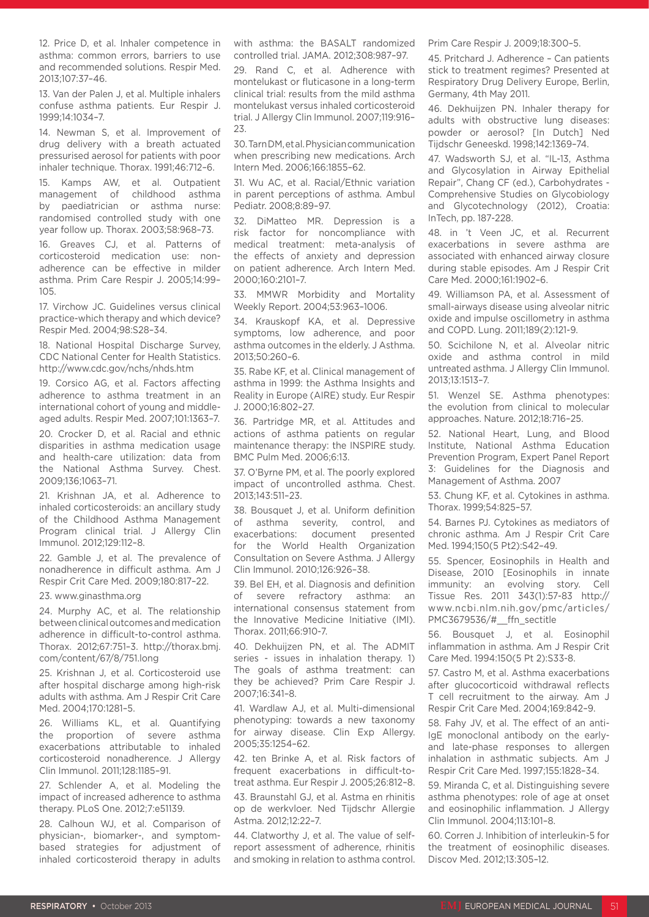12. Price D, et al. Inhaler competence in asthma: common errors, barriers to use and recommended solutions. Respir Med. 2013;107:37–46.

13. Van der Palen J, et al. Multiple inhalers confuse asthma patients. Eur Respir J. 1999;14:1034–7.

14. Newman S, et al. Improvement of drug delivery with a breath actuated pressurised aerosol for patients with poor inhaler technique. Thorax. 1991;46:712–6.

15. Kamps AW, et al. Outpatient management of childhood asthma by paediatrician or asthma nurse: randomised controlled study with one year follow up. Thorax. 2003;58:968–73.

16. Greaves CJ, et al. Patterns of corticosteroid medication use: nonadherence can be effective in milder asthma. Prim Care Respir J. 2005;14:99–  $105$ 

17. Virchow JC. Guidelines versus clinical practice-which therapy and which device? Respir Med. 2004;98:S28–34.

18. National Hospital Discharge Survey, CDC National Center for Health Statistics. http://www.cdc.gov/nchs/nhds.htm

19. Corsico AG, et al. Factors affecting adherence to asthma treatment in an international cohort of young and middleaged adults. Respir Med. 2007;101:1363–7.

20. Crocker D, et al. Racial and ethnic disparities in asthma medication usage and health-care utilization: data from the National Asthma Survey. Chest. 2009;136;1063–71.

21. Krishnan JA, et al. Adherence to inhaled corticosteroids: an ancillary study of the Childhood Asthma Management Program clinical trial. J Allergy Clin Immunol. 2012;129:112–8.

22. Gamble J, et al. The prevalence of nonadherence in difficult asthma. Am J Respir Crit Care Med. 2009;180:817–22.

23. www.ginasthma.org

24. Murphy AC, et al. The relationship between clinical outcomes and medication adherence in difficult-to-control asthma. Thorax. 2012;67:751–3. http://thorax.bmj. com/content/67/8/751.long

25. Krishnan J, et al. Corticosteroid use after hospital discharge among high-risk adults with asthma. Am J Respir Crit Care Med. 2004;170:1281–5.

26. Williams KL, et al. Quantifying the proportion of severe asthma exacerbations attributable to inhaled corticosteroid nonadherence. J Allergy Clin Immunol. 2011;128:1185–91.

27. Schlender A, et al. Modeling the impact of increased adherence to asthma therapy. PLoS One. 2012;7:e51139.

28. Calhoun WJ, et al. Comparison of physician-, biomarker-, and symptombased strategies for adjustment of inhaled corticosteroid therapy in adults

with asthma: the BASALT randomized controlled trial. JAMA. 2012;308:987–97.

29. Rand C, et al. Adherence with montelukast or fluticasone in a long-term clinical trial: results from the mild asthma montelukast versus inhaled corticosteroid trial. J Allergy Clin Immunol. 2007;119:916–  $23$ 

30. Tarn DM, et al. Physician communication when prescribing new medications. Arch Intern Med. 2006;166:1855–62.

31. Wu AC, et al. Racial/Ethnic variation in parent perceptions of asthma. Ambul Pediatr. 2008;8:89–97.

32. DiMatteo MR. Depression is a risk factor for noncompliance with medical treatment: meta-analysis of the effects of anxiety and depression on patient adherence. Arch Intern Med. 2000;160:2101–7.

33. MMWR Morbidity and Mortality Weekly Report. 2004;53:963–1006.

34. Krauskopf KA, et al. Depressive symptoms, low adherence, and poor asthma outcomes in the elderly. J Asthma. 2013;50:260–6.

35. Rabe KF, et al. Clinical management of asthma in 1999: the Asthma Insights and Reality in Europe (AIRE) study. Eur Respir J. 2000;16:802–27.

36. Partridge MR, et al. Attitudes and actions of asthma patients on regular maintenance therapy: the INSPIRE study. BMC Pulm Med. 2006;6:13.

37. O'Byrne PM, et al. The poorly explored impact of uncontrolled asthma. Chest. 2013;143:511–23.

38. Bousquet J, et al. Uniform definition of asthma severity, control, and exacerbations: document presented for the World Health Organization Consultation on Severe Asthma. J Allergy Clin Immunol. 2010;126:926–38.

39. Bel EH, et al. Diagnosis and definition of severe refractory asthma: an international consensus statement from the Innovative Medicine Initiative (IMI). Thorax. 2011;66:910-7.

40. Dekhuijzen PN, et al. The ADMIT series - issues in inhalation therapy. 1) The goals of asthma treatment: can they be achieved? Prim Care Respir J. 2007;16:341–8.

41. Wardlaw AJ, et al. Multi-dimensional phenotyping: towards a new taxonomy for airway disease. Clin Exp Allergy. 2005;35:1254–62.

42. ten Brinke A, et al. Risk factors of frequent exacerbations in difficult-totreat asthma. Eur Respir J. 2005;26:812–8.

43. Braunstahl GJ, et al. Astma en rhinitis op de werkvloer. Ned Tijdschr Allergie Astma. 2012;12:22–7.

44. Clatworthy J, et al. The value of selfreport assessment of adherence, rhinitis and smoking in relation to asthma control. Prim Care Respir J. 2009;18:300–5.

45. Pritchard J. Adherence – Can patients stick to treatment regimes? Presented at Respiratory Drug Delivery Europe, Berlin, Germany, 4th May 2011.

46. Dekhuijzen PN. Inhaler therapy for adults with obstructive lung diseases: powder or aerosol? [In Dutch] Ned Tijdschr Geneeskd. 1998;142:1369–74.

47. Wadsworth SJ, et al. "IL-13, Asthma and Glycosylation in Airway Epithelial Repair", Chang CF (ed.), Carbohydrates - Comprehensive Studies on Glycobiology and Glycotechnology (2012), Croatia: InTech, pp. 187-228.

48. in 't Veen JC, et al. Recurrent exacerbations in severe asthma are associated with enhanced airway closure during stable episodes. Am J Respir Crit Care Med. 2000;161:1902–6.

49. Williamson PA, et al. Assessment of small-airways disease using alveolar nitric oxide and impulse oscillometry in asthma and COPD. Lung. 2011;189(2):121-9.

50. Scichilone N, et al. Alveolar nitric oxide and asthma control in mild untreated asthma. J Allergy Clin Immunol. 2013;13:1513–7.

51. Wenzel SE. Asthma phenotypes: the evolution from clinical to molecular approaches. Nature. 2012;18:716–25.

52. National Heart, Lung, and BIood Institute, National Asthma Education Prevention Program, Expert Panel Report 3: Guidelines for the Diagnosis and Management of Asthma. 2007

53. Chung KF, et al. Cytokines in asthma. Thorax. 1999;54:825–57.

54. Barnes PJ. Cytokines as mediators of chronic asthma. Am J Respir Crit Care Med. 1994;150(5 Pt2):S42–49.

55. Spencer, Eosinophils in Health and Disease, 2010 [Eosinophils in innate immunity: an evolving story. Cell Tissue Res. 2011 343(1):57-83 http:// www.ncbi.nlm.nih.gov/pmc/articles/ PMC3679536/#\_\_ffn\_sectitle

56. Bousquet J, et al. Eosinophil inflammation in asthma. Am J Respir Crit Care Med. 1994:150(5 Pt 2):S33-8.

57. Castro M, et al. Asthma exacerbations after glucocorticoid withdrawal reflects T cell recruitment to the airway. Am J Respir Crit Care Med. 2004;169:842–9.

58. Fahy JV, et al. The effect of an anti-IgE monoclonal antibody on the earlyand late-phase responses to allergen inhalation in asthmatic subjects. Am J Respir Crit Care Med. 1997;155:1828–34.

59. Miranda C, et al. Distinguishing severe asthma phenotypes: role of age at onset and eosinophilic inflammation. J Allergy Clin Immunol. 2004;113:101–8.

60. Corren J. Inhibition of interleukin-5 for the treatment of eosinophilic diseases. Discov Med. 2012;13:305–12.